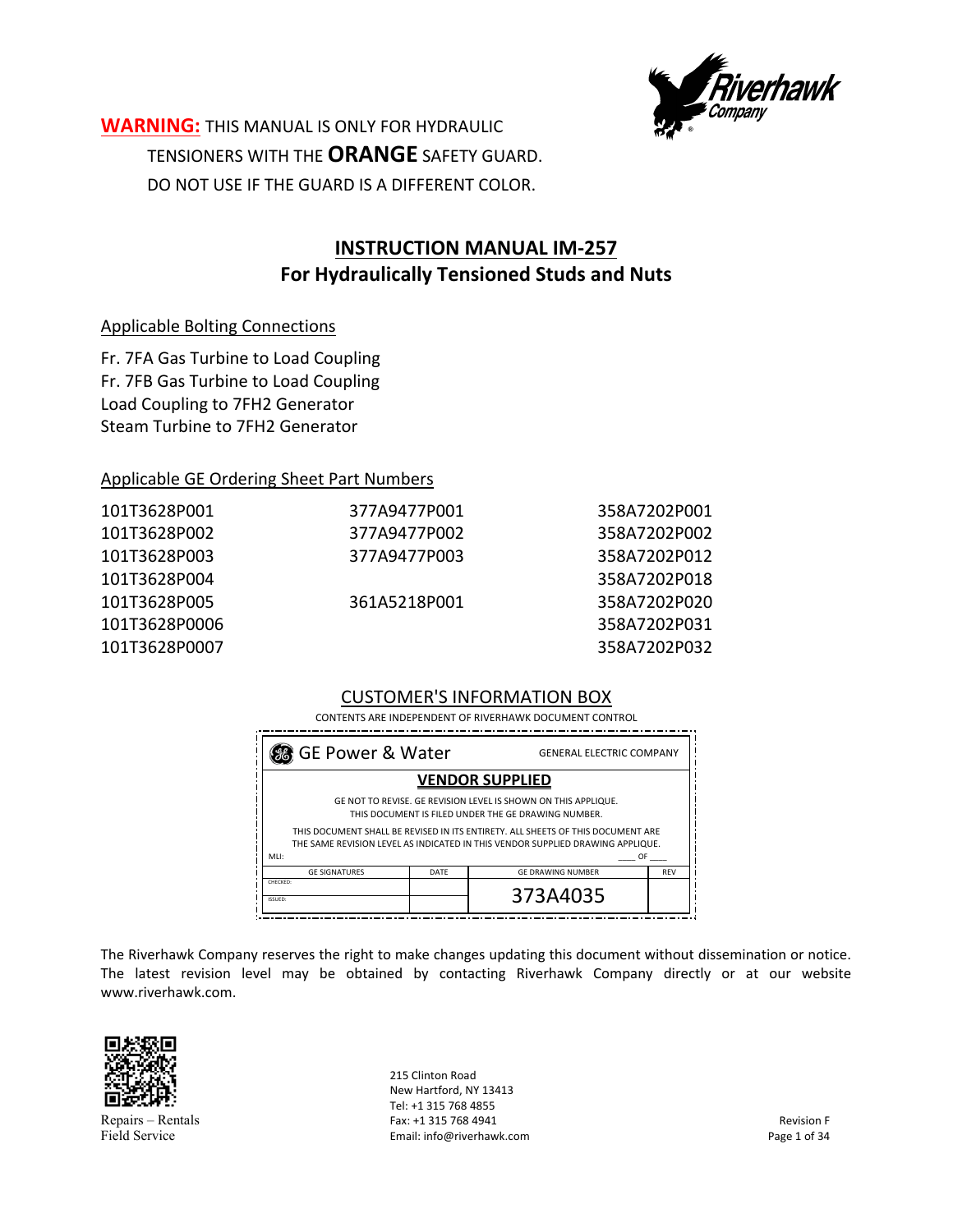

**WARNING:** THIS MANUAL IS ONLY FOR HYDRAULIC TENSIONERS WITH THE **ORANGE** SAFETY GUARD. DO NOT USE IF THE GUARD IS A DIFFERENT COLOR.

# **INSTRUCTION MANUAL IM‐257 For Hydraulically Tensioned Studs and Nuts**

### Applicable Bolting Connections

Fr. 7FA Gas Turbine to Load Coupling Fr. 7FB Gas Turbine to Load Coupling Load Coupling to 7FH2 Generator Steam Turbine to 7FH2 Generator

#### Applicable GE Ordering Sheet Part Numbers

| 101T3628P001  | 377A9477P001 | 358A7202P001 |
|---------------|--------------|--------------|
| 101T3628P002  | 377A9477P002 | 358A7202P002 |
| 101T3628P003  | 377A9477P003 | 358A7202P012 |
| 101T3628P004  |              | 358A7202P018 |
| 101T3628P005  | 361A5218P001 | 358A7202P020 |
| 101T3628P0006 |              | 358A7202P031 |
| 101T3628P0007 |              | 358A7202P032 |
|               |              |              |

### CUSTOMER'S INFORMATION BOX

CONTENTS ARE INDEPENDENT OF RIVERHAWK DOCUMENT CONTROL

| SG GE Power & Water<br><b>GENERAL ELECTRIC COMPANY</b>                                                                                                                          |      |                          |            |
|---------------------------------------------------------------------------------------------------------------------------------------------------------------------------------|------|--------------------------|------------|
| <b>VENDOR SUPPLIED</b>                                                                                                                                                          |      |                          |            |
| GE NOT TO REVISE. GE REVISION LEVEL IS SHOWN ON THIS APPLIQUE.<br>THIS DOCUMENT IS FILED UNDER THE GE DRAWING NUMBER.                                                           |      |                          |            |
| THIS DOCUMENT SHALL BE REVISED IN ITS ENTIRETY. ALL SHEETS OF THIS DOCUMENT ARE<br>THE SAME REVISION LEVEL AS INDICATED IN THIS VENDOR SUPPLIED DRAWING APPLIQUE.<br>MLI:<br>OF |      |                          |            |
| <b>GE SIGNATURES</b>                                                                                                                                                            | DATE | <b>GE DRAWING NUMBER</b> | <b>REV</b> |
| CHECKED:<br>ISSUED:                                                                                                                                                             |      | 373A4035                 |            |

The Riverhawk Company reserves the right to make changes updating this document without dissemination or notice. The latest revision level may be obtained by contacting Riverhawk Company directly or at our website www.riverhawk.com.



Repairs – Rentals Field Service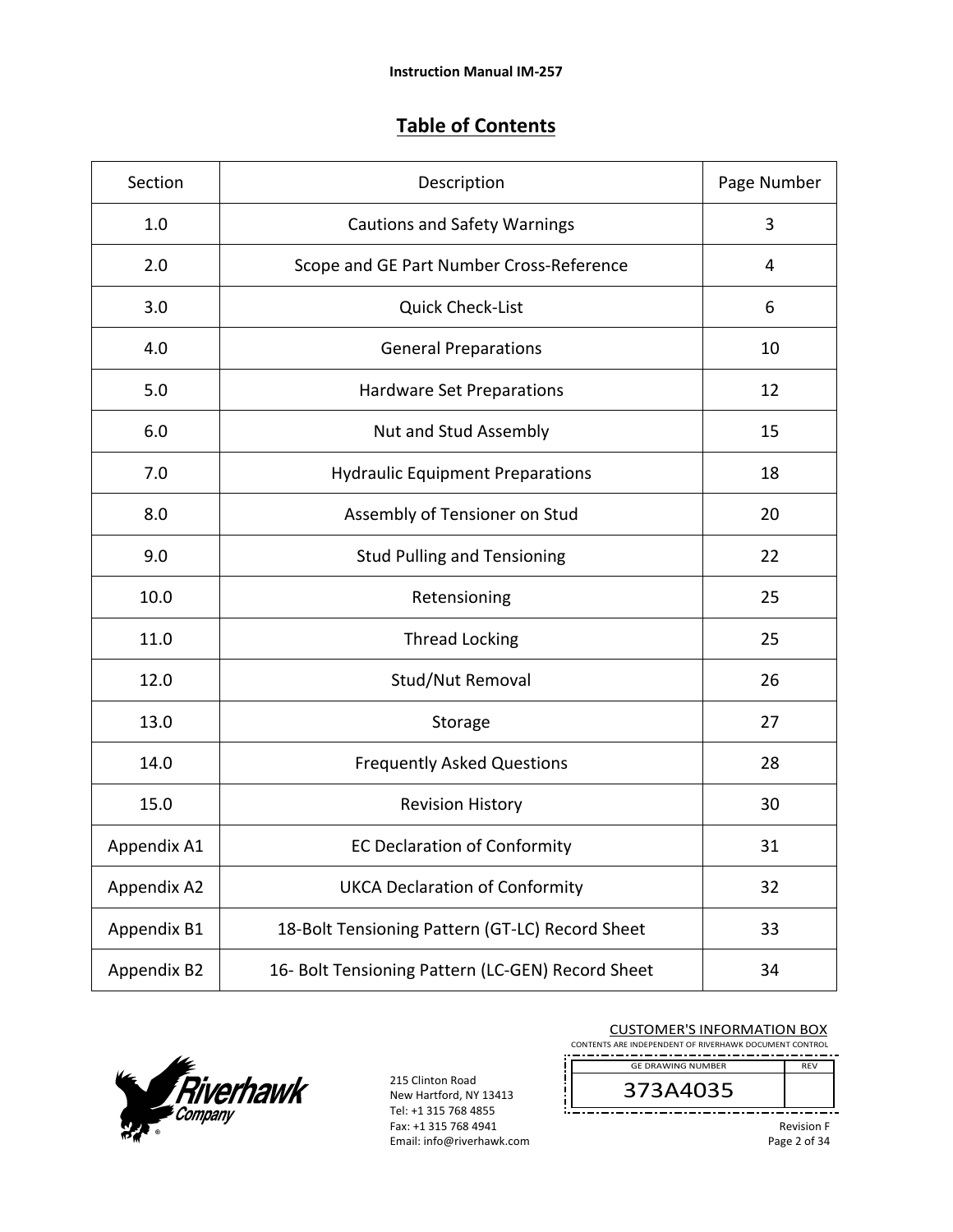# **Table of Contents**

| Section     | Description                                       | Page Number |
|-------------|---------------------------------------------------|-------------|
| 1.0         | <b>Cautions and Safety Warnings</b>               | 3           |
| 2.0         | Scope and GE Part Number Cross-Reference          | 4           |
| 3.0         | <b>Quick Check-List</b>                           | 6           |
| 4.0         | <b>General Preparations</b>                       | 10          |
| 5.0         | Hardware Set Preparations                         | 12          |
| 6.0         | Nut and Stud Assembly                             | 15          |
| 7.0         | <b>Hydraulic Equipment Preparations</b>           | 18          |
| 8.0         | Assembly of Tensioner on Stud                     | 20          |
| 9.0         | <b>Stud Pulling and Tensioning</b>                | 22          |
| 10.0        | Retensioning                                      | 25          |
| 11.0        | <b>Thread Locking</b>                             | 25          |
| 12.0        | Stud/Nut Removal                                  | 26          |
| 13.0        | Storage                                           | 27          |
| 14.0        | <b>Frequently Asked Questions</b>                 | 28          |
| 15.0        | <b>Revision History</b>                           | 30          |
| Appendix A1 | <b>EC Declaration of Conformity</b>               | 31          |
| Appendix A2 | <b>UKCA Declaration of Conformity</b>             | 32          |
| Appendix B1 | 18-Bolt Tensioning Pattern (GT-LC) Record Sheet   | 33          |
| Appendix B2 | 16- Bolt Tensioning Pattern (LC-GEN) Record Sheet | 34          |



215 Clinton Road New Hartford, NY 13413 Tel: +1 315 768 4855 Fax: +1 315 768 4941 Email: info@riverhawk.com

#### CUSTOMER'S INFORMATION BOX

CONTENTS ARE INDEPENDENT OF RIVERHAWK DOCUMENT CONTROL REV GE DRAWING NUMBER

# 373A4035

Revision F Page 2 of 34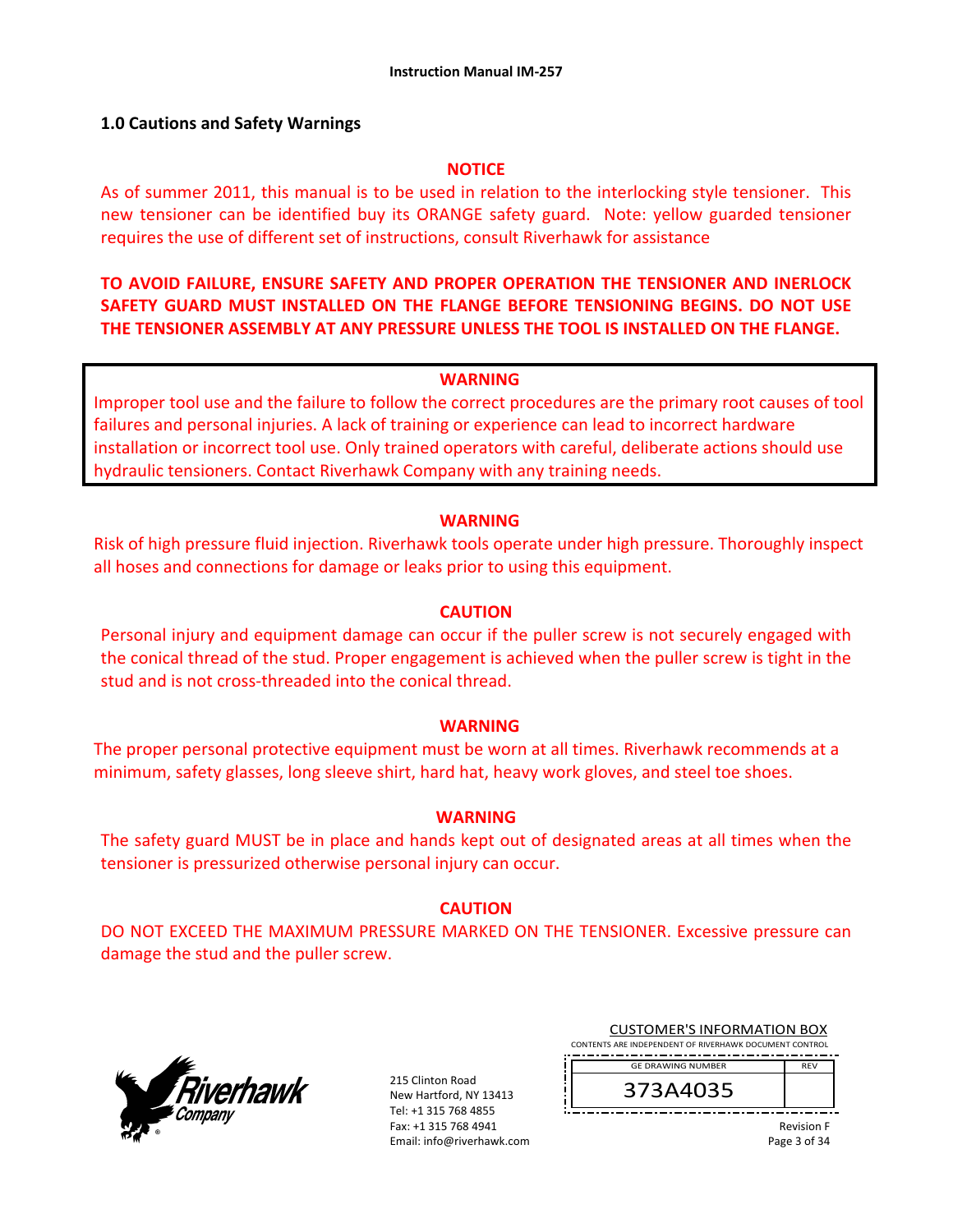### **1.0 Cautions and Safety Warnings**

#### **NOTICE**

As of summer 2011, this manual is to be used in relation to the interlocking style tensioner. This new tensioner can be identified buy its ORANGE safety guard. Note: yellow guarded tensioner requires the use of different set of instructions, consult Riverhawk for assistance

### **TO AVOID FAILURE, ENSURE SAFETY AND PROPER OPERATION THE TENSIONER AND INERLOCK SAFETY GUARD MUST INSTALLED ON THE FLANGE BEFORE TENSIONING BEGINS. DO NOT USE THE TENSIONER ASSEMBLY AT ANY PRESSURE UNLESS THE TOOL IS INSTALLED ON THE FLANGE.**

#### **WARNING**

Improper tool use and the failure to follow the correct procedures are the primary root causes of tool failures and personal injuries. A lack of training or experience can lead to incorrect hardware installation or incorrect tool use. Only trained operators with careful, deliberate actions should use hydraulic tensioners. Contact Riverhawk Company with any training needs.

#### **WARNING**

Risk of high pressure fluid injection. Riverhawk tools operate under high pressure. Thoroughly inspect all hoses and connections for damage or leaks prior to using this equipment.

### **CAUTION**

Personal injury and equipment damage can occur if the puller screw is not securely engaged with the conical thread of the stud. Proper engagement is achieved when the puller screw is tight in the stud and is not cross‐threaded into the conical thread.

#### **WARNING**

The proper personal protective equipment must be worn at all times. Riverhawk recommends at a minimum, safety glasses, long sleeve shirt, hard hat, heavy work gloves, and steel toe shoes.

#### **WARNING**

The safety guard MUST be in place and hands kept out of designated areas at all times when the tensioner is pressurized otherwise personal injury can occur.

#### **CAUTION**

DO NOT EXCEED THE MAXIMUM PRESSURE MARKED ON THE TENSIONER. Excessive pressure can damage the stud and the puller screw.



215 Clinton Road New Hartford, NY 13413 Tel: +1 315 768 4855 Fax: +1 315 768 4941 Email: info@riverhawk.com

| <b>CUSTOMER'S INFORMATION BOX</b>                      |            |  |  |
|--------------------------------------------------------|------------|--|--|
| CONTENTS ARE INDEPENDENT OF RIVERHAWK DOCUMENT CONTROL |            |  |  |
| <b>GE DRAWING NUMBER</b>                               | <b>RFV</b> |  |  |
| 373A4035                                               |            |  |  |

Revision F

|              |  | <b>Revision F</b> |
|--------------|--|-------------------|
| Page 3 of 34 |  |                   |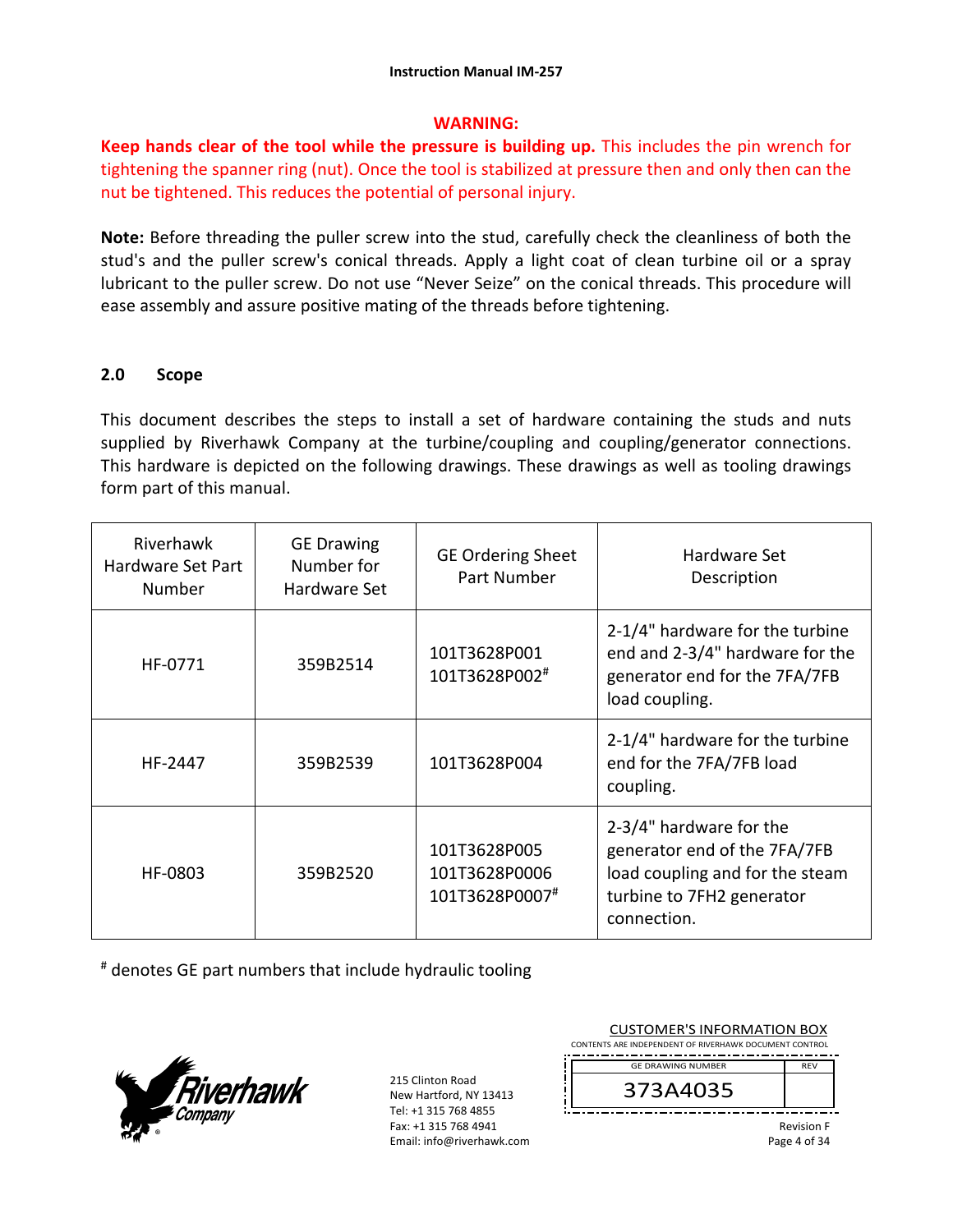### **WARNING:**

**Keep hands clear of the tool while the pressure is building up.** This includes the pin wrench for tightening the spanner ring (nut). Once the tool is stabilized at pressure then and only then can the nut be tightened. This reduces the potential of personal injury.

**Note:** Before threading the puller screw into the stud, carefully check the cleanliness of both the stud's and the puller screw's conical threads. Apply a light coat of clean turbine oil or a spray lubricant to the puller screw. Do not use "Never Seize" on the conical threads. This procedure will ease assembly and assure positive mating of the threads before tightening.

### **2.0 Scope**

This document describes the steps to install a set of hardware containing the studs and nuts supplied by Riverhawk Company at the turbine/coupling and coupling/generator connections. This hardware is depicted on the following drawings. These drawings as well as tooling drawings form part of this manual.

| Riverhawk<br>Hardware Set Part<br>Number | <b>GE Drawing</b><br>Number for<br>Hardware Set | <b>GE Ordering Sheet</b><br>Part Number         | Hardware Set<br>Description                                                                                                            |
|------------------------------------------|-------------------------------------------------|-------------------------------------------------|----------------------------------------------------------------------------------------------------------------------------------------|
| HF-0771                                  | 359B2514                                        | 101T3628P001<br>101T3628P002#                   | 2-1/4" hardware for the turbine<br>end and 2-3/4" hardware for the<br>generator end for the 7FA/7FB<br>load coupling.                  |
| HF-2447                                  | 359B2539                                        | 101T3628P004                                    | 2-1/4" hardware for the turbine<br>end for the 7FA/7FB load<br>coupling.                                                               |
| HF-0803                                  | 359B2520                                        | 101T3628P005<br>101T3628P0006<br>101T3628P0007# | 2-3/4" hardware for the<br>generator end of the 7FA/7FB<br>load coupling and for the steam<br>turbine to 7FH2 generator<br>connection. |

# denotes GE part numbers that include hydraulic tooling



| <b>CUSTOMER'S INFORMATION BOX</b><br>CONTENTS ARE INDEPENDENT OF RIVERHAWK DOCUMENT CONTROL |                                      |                                   |
|---------------------------------------------------------------------------------------------|--------------------------------------|-----------------------------------|
|                                                                                             | <b>GF DRAWING NUMBER</b><br>373A4035 | <b>REV</b>                        |
|                                                                                             |                                      | <b>Revision F</b><br>Page 4 of 34 |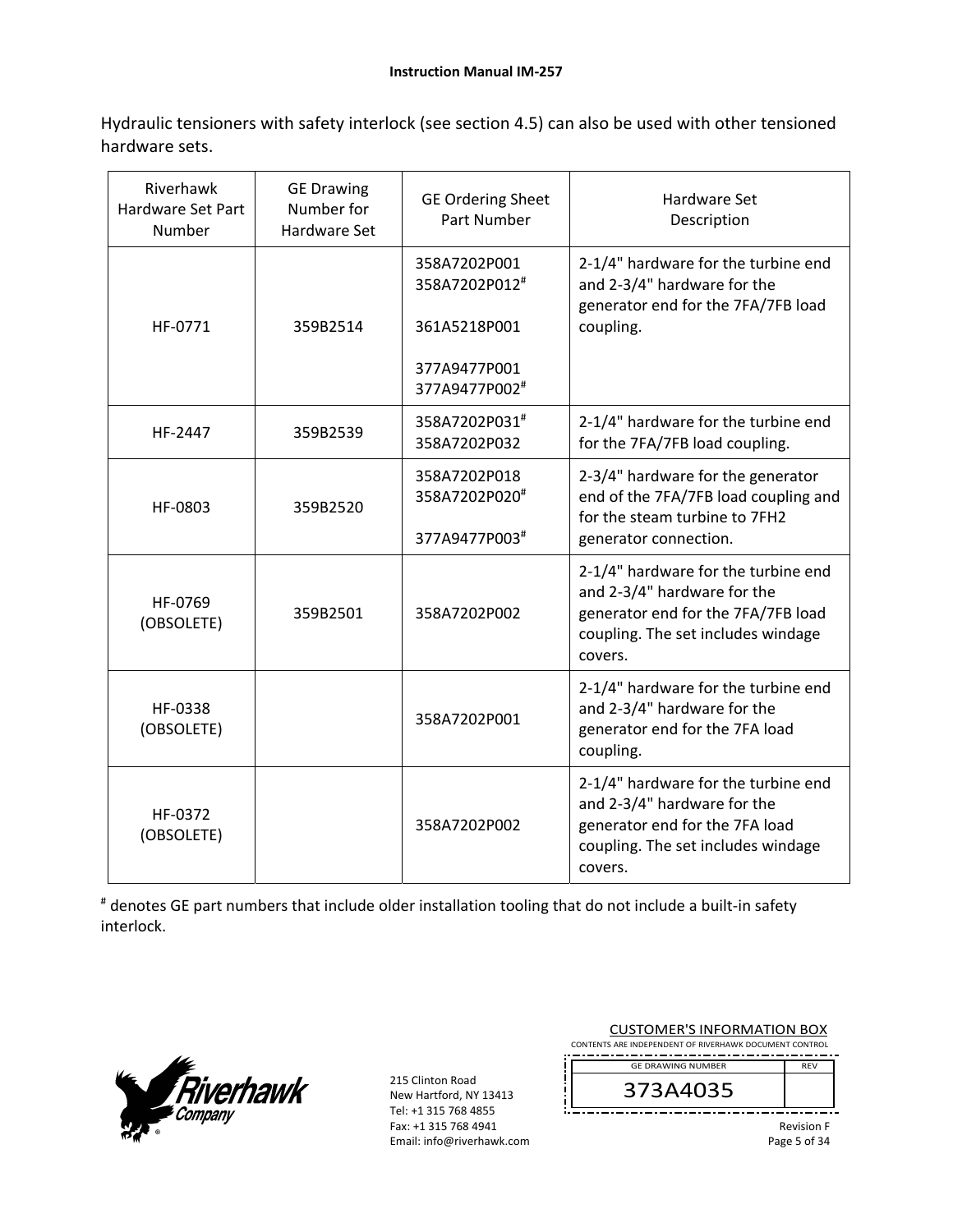Hydraulic tensioners with safety interlock (see section 4.5) can also be used with other tensioned hardware sets.

| Riverhawk<br>Hardware Set Part<br>Number | <b>GE Drawing</b><br>Number for<br><b>Hardware Set</b> | <b>GE Ordering Sheet</b><br>Part Number                                        | Hardware Set<br>Description                                                                                                                               |
|------------------------------------------|--------------------------------------------------------|--------------------------------------------------------------------------------|-----------------------------------------------------------------------------------------------------------------------------------------------------------|
| HF-0771                                  | 359B2514                                               | 358A7202P001<br>358A7202P012#<br>361A5218P001<br>377A9477P001<br>377A9477P002# | 2-1/4" hardware for the turbine end<br>and 2-3/4" hardware for the<br>generator end for the 7FA/7FB load<br>coupling.                                     |
| HF-2447                                  | 359B2539                                               | 358A7202P031#<br>358A7202P032                                                  | 2-1/4" hardware for the turbine end<br>for the 7FA/7FB load coupling.                                                                                     |
| HF-0803                                  | 359B2520                                               | 358A7202P018<br>358A7202P020#<br>377A9477P003#                                 | 2-3/4" hardware for the generator<br>end of the 7FA/7FB load coupling and<br>for the steam turbine to 7FH2<br>generator connection.                       |
| HF-0769<br>(OBSOLETE)                    | 359B2501                                               | 358A7202P002                                                                   | 2-1/4" hardware for the turbine end<br>and 2-3/4" hardware for the<br>generator end for the 7FA/7FB load<br>coupling. The set includes windage<br>covers. |
| HF-0338<br>(OBSOLETE)                    |                                                        | 358A7202P001                                                                   | 2-1/4" hardware for the turbine end<br>and 2-3/4" hardware for the<br>generator end for the 7FA load<br>coupling.                                         |
| HF-0372<br>(OBSOLETE)                    |                                                        | 358A7202P002                                                                   | 2-1/4" hardware for the turbine end<br>and 2-3/4" hardware for the<br>generator end for the 7FA load<br>coupling. The set includes windage<br>covers.     |

# denotes GE part numbers that include older installation tooling that do not include a built‐in safety interlock.



| <b>CUSTOMER'S INFORMATION BOX</b><br>CONTENTS ARE INDEPENDENT OF RIVERHAWK DOCUMENT CONTROL |                   |
|---------------------------------------------------------------------------------------------|-------------------|
| <b>GE DRAWING NUMBER</b>                                                                    | <b>RFV</b>        |
| 373A4035                                                                                    |                   |
|                                                                                             | <b>Revision F</b> |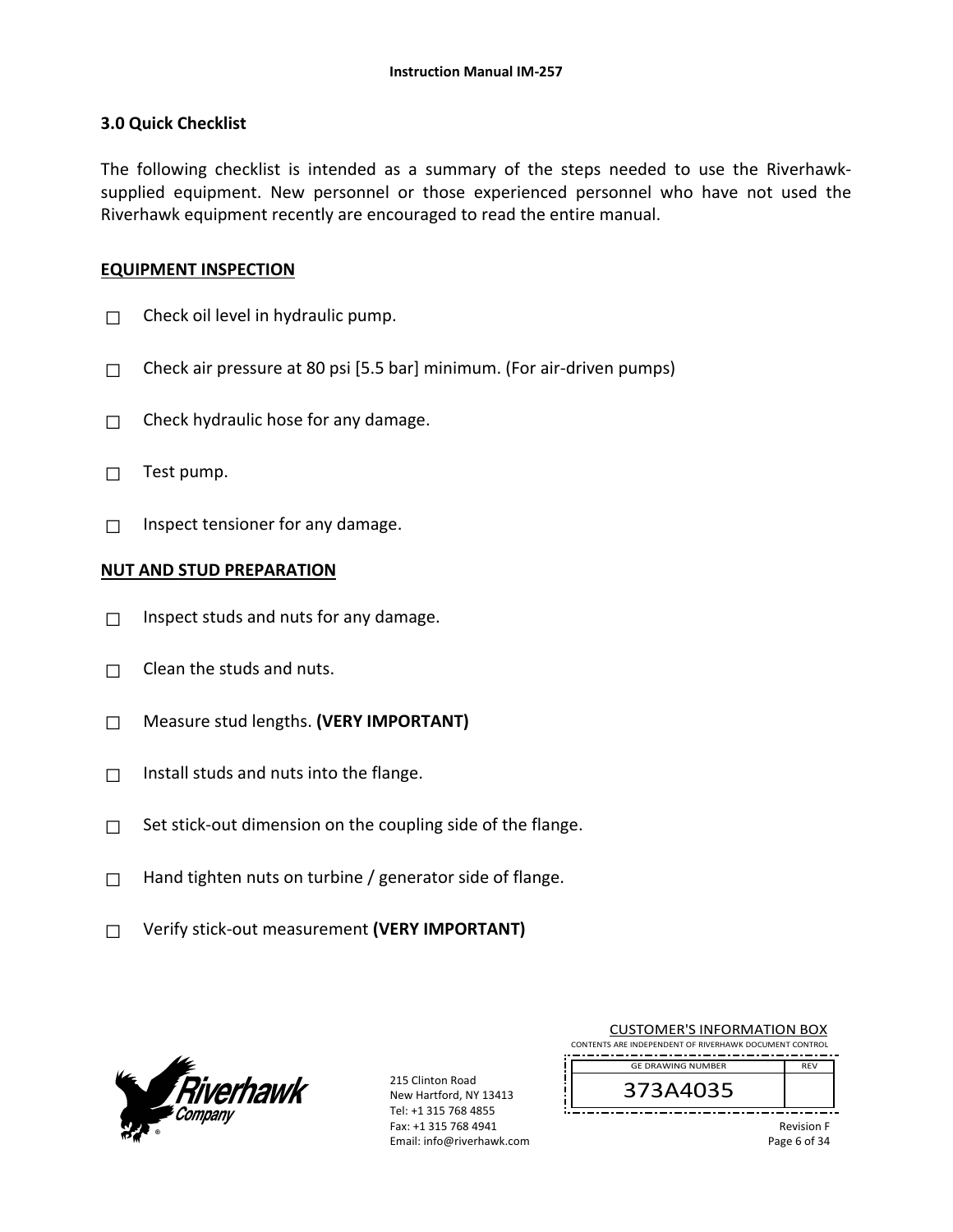#### **3.0 Quick Checklist**

The following checklist is intended as a summary of the steps needed to use the Riverhawksupplied equipment. New personnel or those experienced personnel who have not used the Riverhawk equipment recently are encouraged to read the entire manual.

#### **EQUIPMENT INSPECTION**

- $\Box$  Check oil level in hydraulic pump.
- $\Box$  Check air pressure at 80 psi [5.5 bar] minimum. (For air-driven pumps)
- $\Box$  Check hydraulic hose for any damage.
- □ Test pump.
- $\Box$  Inspect tensioner for any damage.

#### **NUT AND STUD PREPARATION**

- $\Box$  Inspect studs and nuts for any damage.
- $\Box$  Clean the studs and nuts.
- □ Measure stud lengths. **(VERY IMPORTANT)**
- $\Box$  Install studs and nuts into the flange.
- $\Box$  Set stick-out dimension on the coupling side of the flange.
- $\Box$  Hand tighten nuts on turbine / generator side of flange.
- □ Verify stick‐out measurement **(VERY IMPORTANT)**



215 Clinton Road New Hartford, NY 13413 Tel: +1 315 768 4855 Fax: +1 315 768 4941 Email: info@riverhawk.com

| <b>CUSTOMER'S INFORMATION BOX</b>                      |     |  |
|--------------------------------------------------------|-----|--|
| CONTENTS ARE INDEPENDENT OF RIVERHAWK DOCUMENT CONTROL |     |  |
| <b>GE DRAWING NUMBER</b>                               | RFV |  |
| 373A4035                                               |     |  |

Revision F Page 6 of 34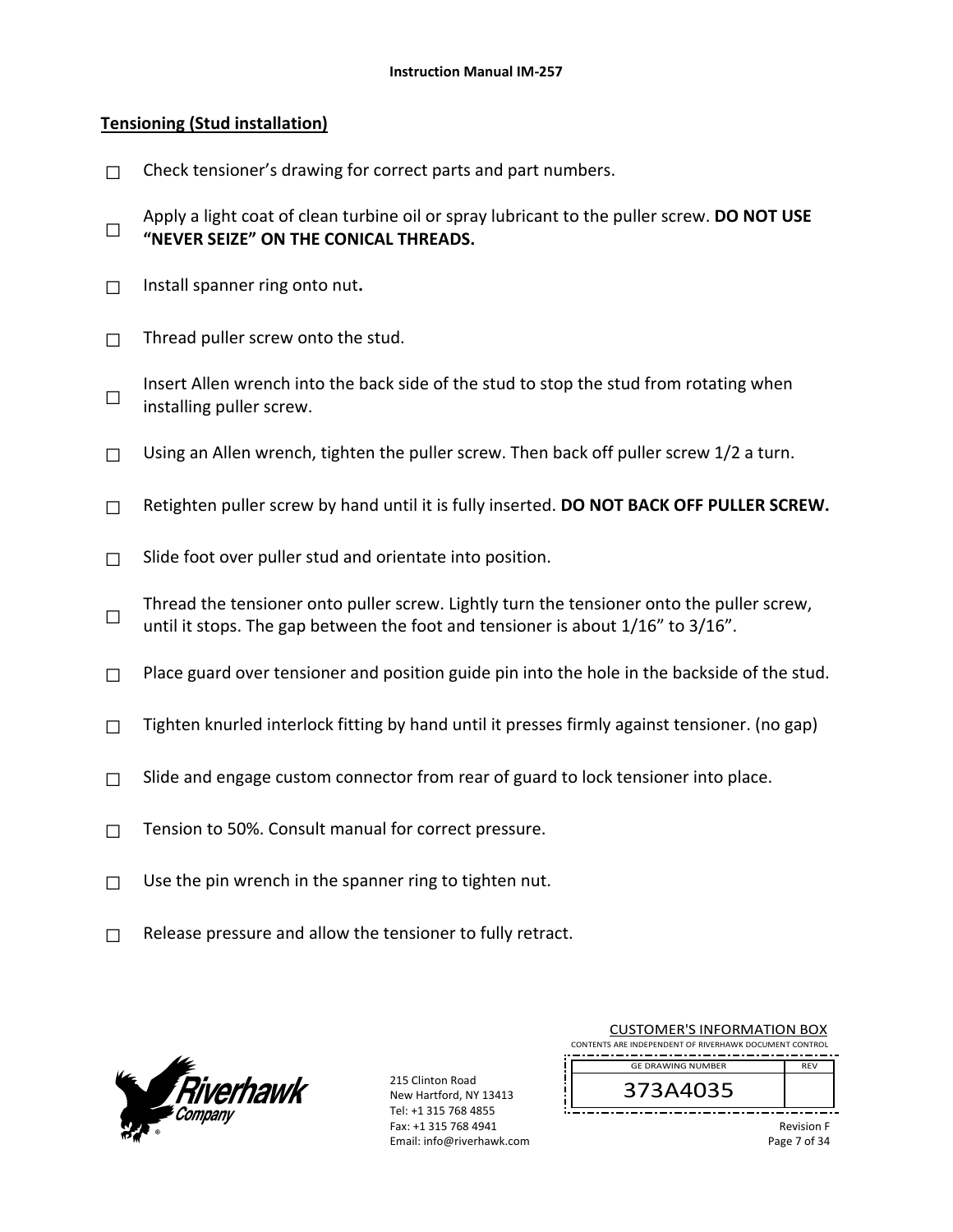### **Tensioning (Stud installation)**

- $\Box$  Check tensioner's drawing for correct parts and part numbers.
- □ Apply a light coat of clean turbine oil or spray lubricant to the puller screw. **DO NOT USE "NEVER SEIZE" ON THE CONICAL THREADS.**
- □ Install spanner ring onto nut**.**
- $\Box$  Thread puller screw onto the stud.
- □ Insert Allen wrench into the back side of the stud to stop the stud from rotating when installing puller screw.
- $\Box$  Using an Allen wrench, tighten the puller screw. Then back off puller screw 1/2 a turn.
- □ Retighten puller screw by hand until it is fully inserted. **DO NOT BACK OFF PULLER SCREW.**
- $\Box$  Slide foot over puller stud and orientate into position.
- □ Thread the tensioner onto puller screw. Lightly turn the tensioner onto the puller screw, until it stops. The gap between the foot and tensioner is about  $1/16$ " to  $3/16$ ".
- $\Box$  Place guard over tensioner and position guide pin into the hole in the backside of the stud.
- $\Box$  Tighten knurled interlock fitting by hand until it presses firmly against tensioner. (no gap)
- $\Box$  Slide and engage custom connector from rear of guard to lock tensioner into place.
- □ Tension to 50%. Consult manual for correct pressure.
- $\Box$  Use the pin wrench in the spanner ring to tighten nut.
- $\Box$  Release pressure and allow the tensioner to fully retract.



| <b>CUSTOMER'S INFORMATION BOX</b><br>CONTENTS ARE INDEPENDENT OF RIVERHAWK DOCUMENT CONTROL |                   |  |
|---------------------------------------------------------------------------------------------|-------------------|--|
| <b>GE DRAWING NUMBER</b>                                                                    | <b>RFV</b>        |  |
| 373A4035                                                                                    |                   |  |
|                                                                                             | <b>Revision F</b> |  |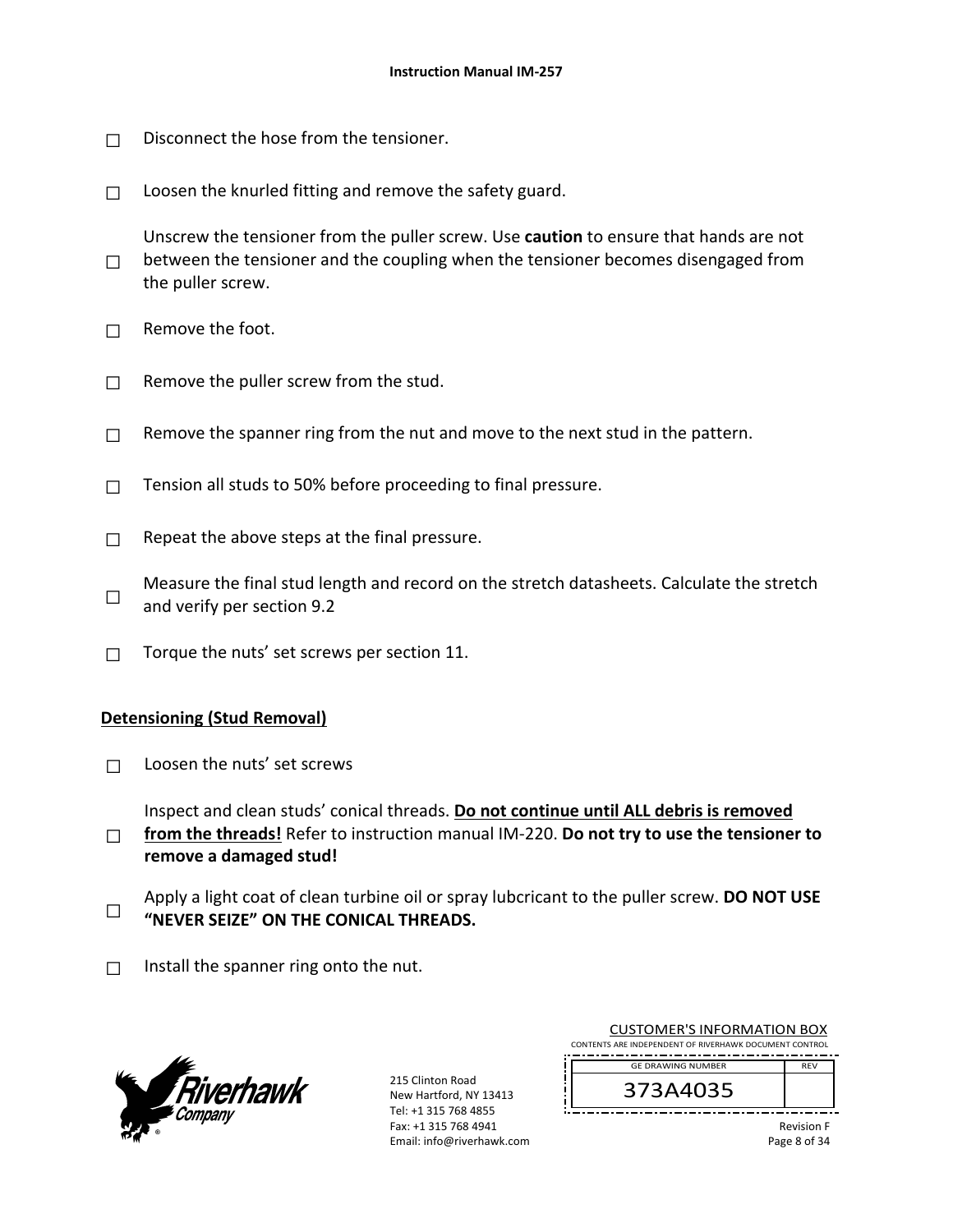- $\Box$  Disconnect the hose from the tensioner.
- $\Box$  Loosen the knurled fitting and remove the safety guard.

□ Unscrew the tensioner from the puller screw. Use **caution** to ensure that hands are not between the tensioner and the coupling when the tensioner becomes disengaged from the puller screw.

- $\Box$  Remove the foot.
- $\Box$  Remove the puller screw from the stud.
- $\Box$  Remove the spanner ring from the nut and move to the next stud in the pattern.
- $\Box$  Tension all studs to 50% before proceeding to final pressure.
- $\Box$  Repeat the above steps at the final pressure.

□ Measure the final stud length and record on the stretch datasheets. Calculate the stretch and verify per section 9.2

 $\Box$  Torque the nuts' set screws per section 11.

#### **Detensioning (Stud Removal)**

 $\Box$  Loosen the nuts' set screws

Inspect and clean studs' conical threads. **Do not continue until ALL debris is removed** 

- □ **from the threads!** Refer to instruction manual IM‐220. **Do not try to use the tensioner to remove a damaged stud!**
- □ Apply a light coat of clean turbine oil or spray lubcricant to the puller screw. **DO NOT USE "NEVER SEIZE" ON THE CONICAL THREADS.**
- $\Box$  Install the spanner ring onto the nut.



215 Clinton Road New Hartford, NY 13413 Tel: +1 315 768 4855 Fax: +1 315 768 4941 Email: info@riverhawk.com

| <b>CUSTOMER'S INFORMATION BOX</b>                      |            |  |  |  |
|--------------------------------------------------------|------------|--|--|--|
| CONTENTS ARE INDEPENDENT OF RIVERHAWK DOCUMENT CONTROL |            |  |  |  |
| <b>GE DRAWING NUMBER</b>                               | <b>RFV</b> |  |  |  |
| 373A4035                                               |            |  |  |  |

Revision F Page 8 of 34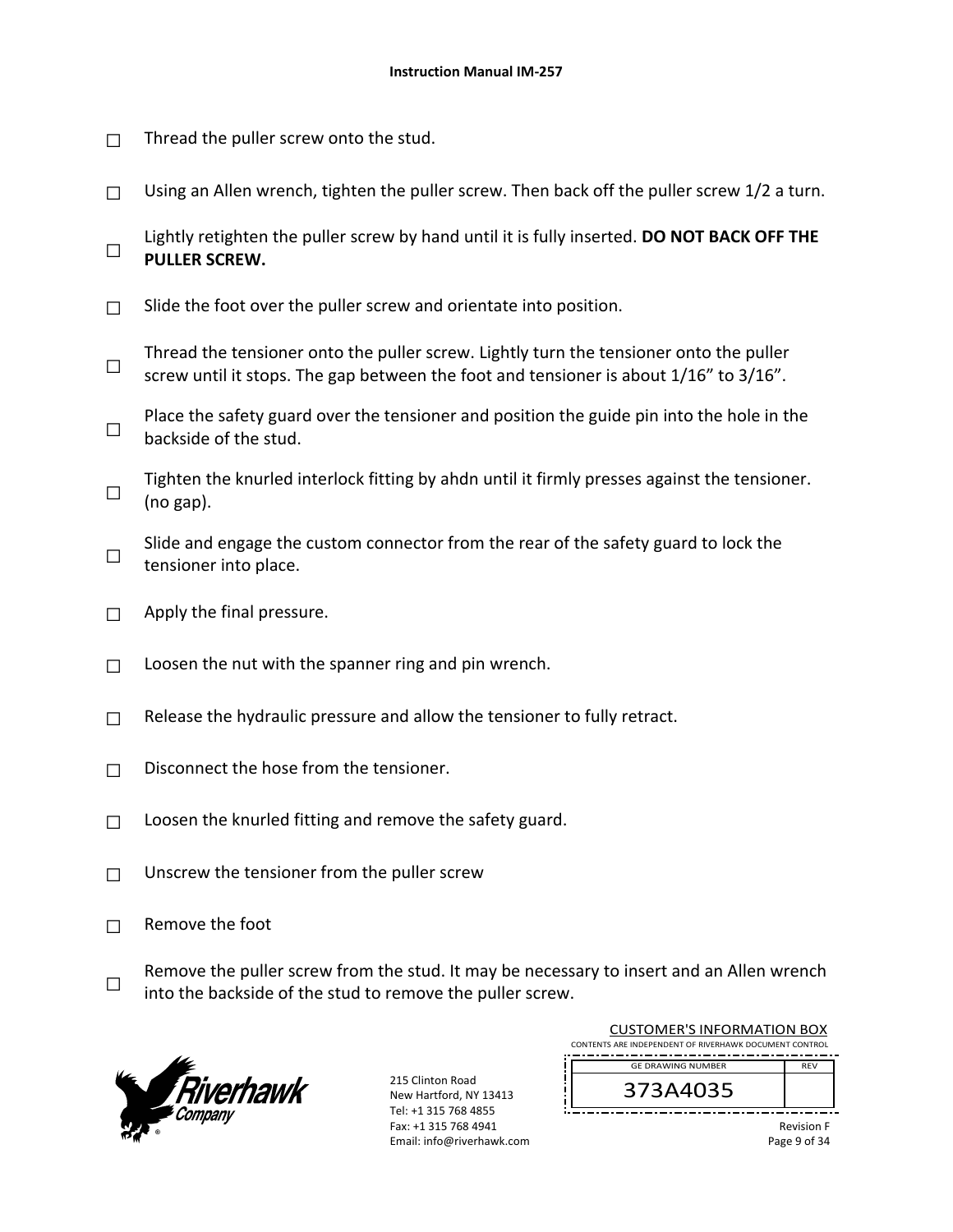- $\Box$  Thread the puller screw onto the stud.
- $\Box$  Using an Allen wrench, tighten the puller screw. Then back off the puller screw 1/2 a turn.
- □ Lightly retighten the puller screw by hand until it is fully inserted. **DO NOT BACK OFF THE PULLER SCREW.**
- $\Box$  Slide the foot over the puller screw and orientate into position.
- □ Thread the tensioner onto the puller screw. Lightly turn the tensioner onto the puller screw until it stops. The gap between the foot and tensioner is about 1/16" to 3/16".
- □ Place the safety guard over the tensioner and position the guide pin into the hole in the backside of the stud.
- □ Tighten the knurled interlock fitting by ahdn until it firmly presses against the tensioner. (no gap).
- □ Slide and engage the custom connector from the rear of the safety guard to lock the tensioner into place.
- $\Box$  Apply the final pressure.
- $\Box$  Loosen the nut with the spanner ring and pin wrench.
- $\Box$  Release the hydraulic pressure and allow the tensioner to fully retract.
- $\Box$  Disconnect the hose from the tensioner.
- $\Box$  Loosen the knurled fitting and remove the safety guard.
- $\Box$  Unscrew the tensioner from the puller screw
- $\Box$  Remove the foot
- □ Remove the puller screw from the stud. It may be necessary to insert and an Allen wrench into the backside of the stud to remove the puller screw.



215 Clinton Road New Hartford, NY 13413 Tel: +1 315 768 4855 Fax: +1 315 768 4941 Email: info@riverhawk.com

| <b>CUSTOMER'S INFORMATION BOX</b>                      |            |  |
|--------------------------------------------------------|------------|--|
| CONTENTS ARE INDEPENDENT OF RIVERHAWK DOCUMENT CONTROL |            |  |
|                                                        |            |  |
| <b>GE DRAWING NUMBER</b>                               | <b>RFV</b> |  |
| 373A4035                                               |            |  |

Revision F Page 9 of 34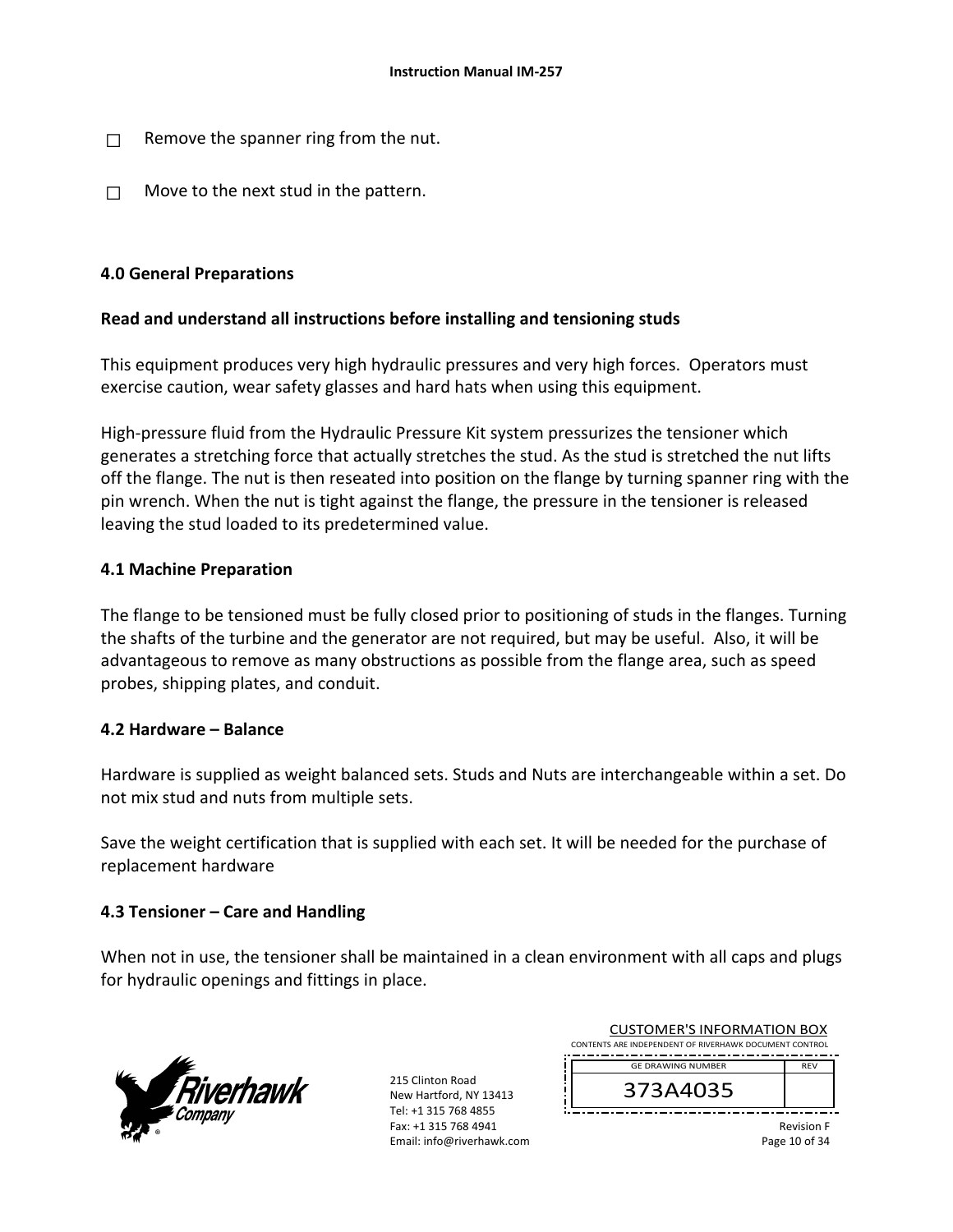- $\Box$  Remove the spanner ring from the nut.
- $\Box$  Move to the next stud in the pattern.

### **4.0 General Preparations**

### **Read and understand all instructions before installing and tensioning studs**

This equipment produces very high hydraulic pressures and very high forces. Operators must exercise caution, wear safety glasses and hard hats when using this equipment.

High-pressure fluid from the Hydraulic Pressure Kit system pressurizes the tensioner which generates a stretching force that actually stretches the stud. As the stud is stretched the nut lifts off the flange. The nut is then reseated into position on the flange by turning spanner ring with the pin wrench. When the nut is tight against the flange, the pressure in the tensioner is released leaving the stud loaded to its predetermined value.

### **4.1 Machine Preparation**

The flange to be tensioned must be fully closed prior to positioning of studs in the flanges. Turning the shafts of the turbine and the generator are not required, but may be useful. Also, it will be advantageous to remove as many obstructions as possible from the flange area, such as speed probes, shipping plates, and conduit.

### **4.2 Hardware – Balance**

Hardware is supplied as weight balanced sets. Studs and Nuts are interchangeable within a set. Do not mix stud and nuts from multiple sets.

Save the weight certification that is supplied with each set. It will be needed for the purchase of replacement hardware

### **4.3 Tensioner – Care and Handling**

When not in use, the tensioner shall be maintained in a clean environment with all caps and plugs for hydraulic openings and fittings in place.



| <b>CUSTOMER'S INFORMATION BOX</b>                      |            |  |
|--------------------------------------------------------|------------|--|
| CONTENTS ARE INDEPENDENT OF RIVERHAWK DOCUMENT CONTROL |            |  |
| <b>GE DRAWING NUMBER</b>                               | <b>RFV</b> |  |
| 373A4035                                               |            |  |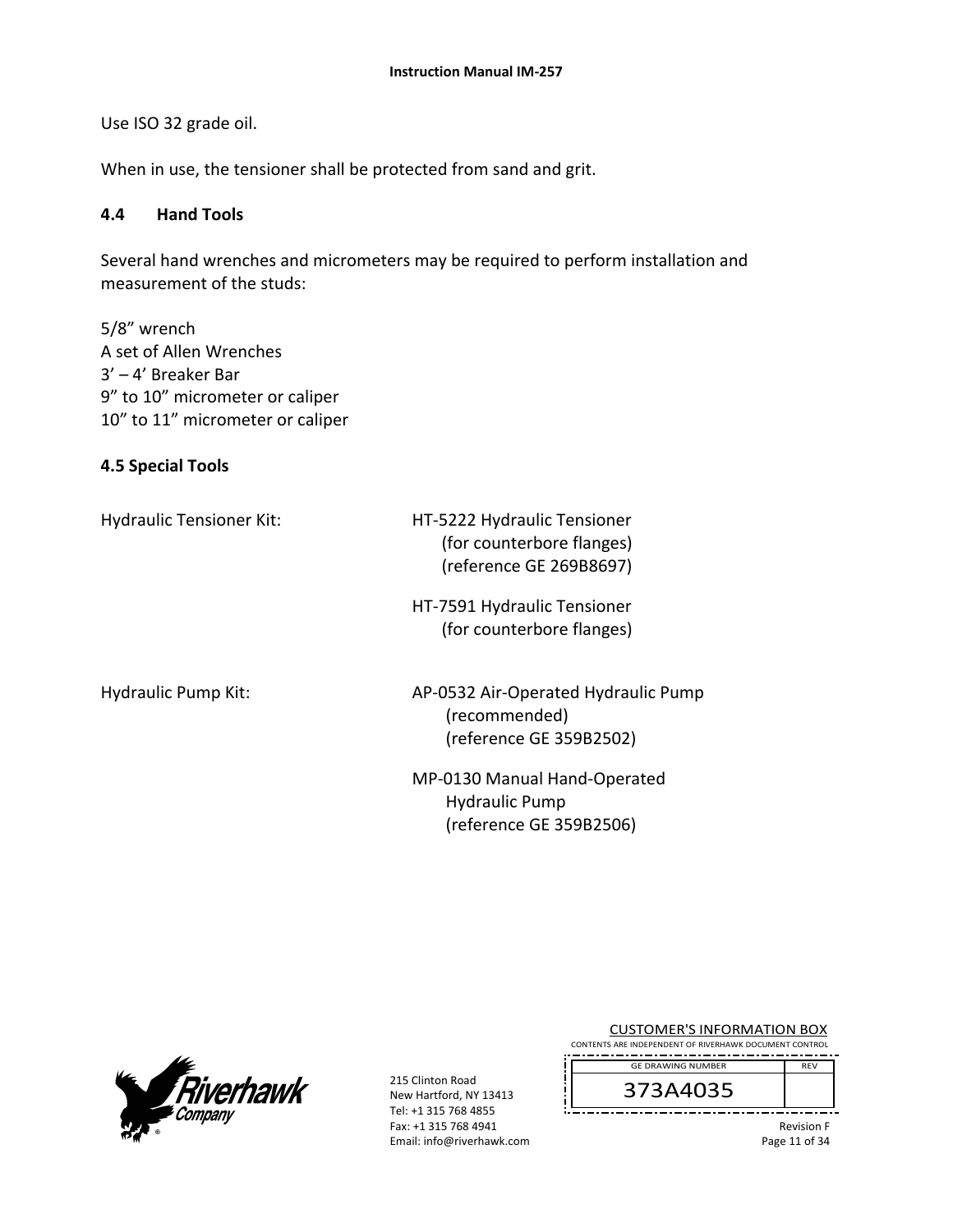Use ISO 32 grade oil.

When in use, the tensioner shall be protected from sand and grit.

### **4.4 Hand Tools**

Several hand wrenches and micrometers may be required to perform installation and measurement of the studs:

5/8" wrench A set of Allen Wrenches 3' – 4' Breaker Bar 9" to 10" micrometer or caliper 10" to 11" micrometer or caliper

#### **4.5 Special Tools**

Hydraulic Tensioner Kit: 
HT-5222 Hydraulic Tensioner (for counterbore flanges) (reference GE 269B8697)

> HT‐7591 Hydraulic Tensioner (for counterbore flanges)

Hydraulic Pump Kit: AP-0532 Air-Operated Hydraulic Pump (recommended) (reference GE 359B2502)

> MP‐0130 Manual Hand‐Operated Hydraulic Pump (reference GE 359B2506)



215 Clinton Road New Hartford, NY 13413 Tel: +1 315 768 4855 Fax: +1 315 768 4941 Email: info@riverhawk.com

|  |  | <b>CUSTOMER'S INFORMATION BOX</b>                      |  |
|--|--|--------------------------------------------------------|--|
|  |  | CONTENTS ARE INDEPENDENT OF RIVERHAWK DOCUMENT CONTROL |  |
|  |  |                                                        |  |

373A4035 GE DRAWING NUMBER

> Revision F Page 11 of 34

REV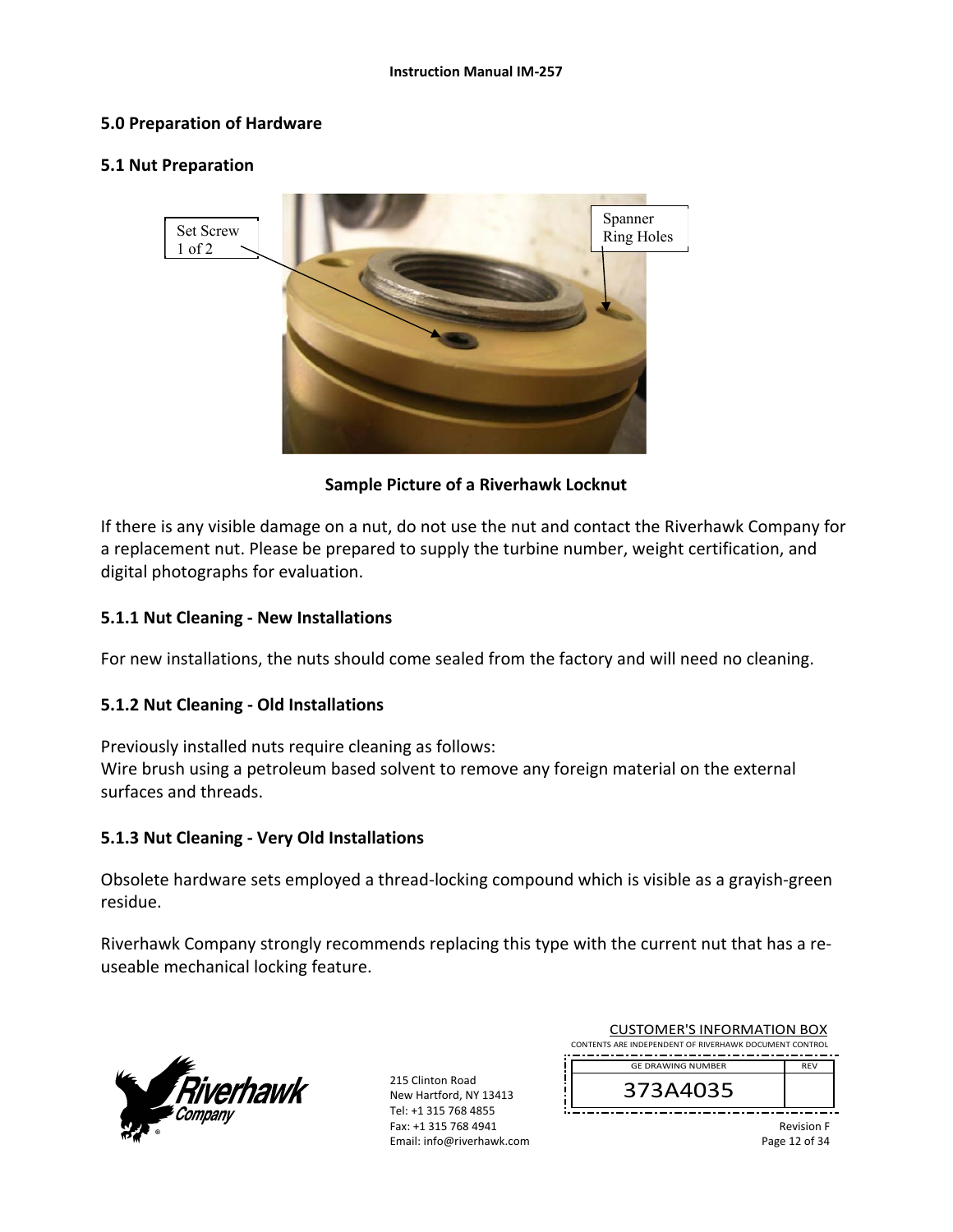### **5.0 Preparation of Hardware**

#### **5.1 Nut Preparation**



### **Sample Picture of a Riverhawk Locknut**

If there is any visible damage on a nut, do not use the nut and contact the Riverhawk Company for a replacement nut. Please be prepared to supply the turbine number, weight certification, and digital photographs for evaluation.

### **5.1.1 Nut Cleaning ‐ New Installations**

For new installations, the nuts should come sealed from the factory and will need no cleaning.

### **5.1.2 Nut Cleaning ‐ Old Installations**

Previously installed nuts require cleaning as follows: Wire brush using a petroleum based solvent to remove any foreign material on the external surfaces and threads.

#### **5.1.3 Nut Cleaning ‐ Very Old Installations**

Obsolete hardware sets employed a thread‐locking compound which is visible as a grayish‐green residue.

Riverhawk Company strongly recommends replacing this type with the current nut that has a re‐ useable mechanical locking feature.



215 Clinton Road New Hartford, NY 13413 Tel: +1 315 768 4855 Fax: +1 315 768 4941 Email: info@riverhawk.com

|                                   | <b>GE DRAWING NUMBER</b>                               | <b>RFV</b> |
|-----------------------------------|--------------------------------------------------------|------------|
|                                   | CONTENTS ARE INDEPENDENT OF RIVERHAWK DOCUMENT CONTROL |            |
| <b>CUSTOMER'S INFORMATION BOX</b> |                                                        |            |

Revision F

Page 12 of 34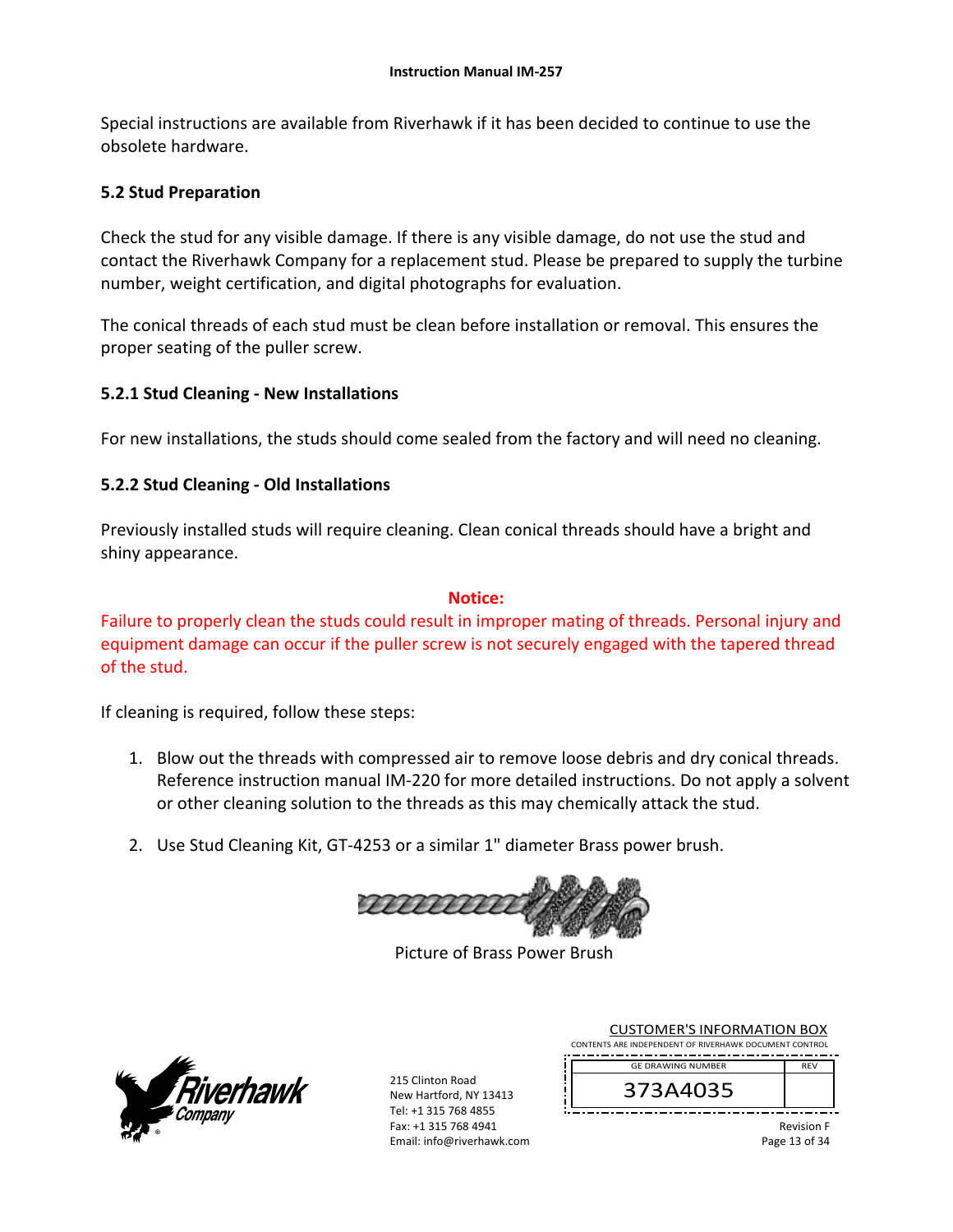Special instructions are available from Riverhawk if it has been decided to continue to use the obsolete hardware.

### **5.2 Stud Preparation**

Check the stud for any visible damage. If there is any visible damage, do not use the stud and contact the Riverhawk Company for a replacement stud. Please be prepared to supply the turbine number, weight certification, and digital photographs for evaluation.

The conical threads of each stud must be clean before installation or removal. This ensures the proper seating of the puller screw.

### **5.2.1 Stud Cleaning ‐ New Installations**

For new installations, the studs should come sealed from the factory and will need no cleaning.

## **5.2.2 Stud Cleaning ‐ Old Installations**

Previously installed studs will require cleaning. Clean conical threads should have a bright and shiny appearance.

### **Notice:**

Failure to properly clean the studs could result in improper mating of threads. Personal injury and equipment damage can occur if the puller screw is not securely engaged with the tapered thread of the stud.

If cleaning is required, follow these steps:

- 1. Blow out the threads with compressed air to remove loose debris and dry conical threads. Reference instruction manual IM‐220 for more detailed instructions. Do not apply a solvent or other cleaning solution to the threads as this may chemically attack the stud.
- 2. Use Stud Cleaning Kit, GT‐4253 or a similar 1" diameter Brass power brush.



Picture of Brass Power Brush



215 Clinton Road New Hartford, NY 13413 Tel: +1 315 768 4855 Fax: +1 315 768 4941 Email: info@riverhawk.com

|                                                        | <b>CUSTOMER'S INFORMATION BOX</b> |            |  |
|--------------------------------------------------------|-----------------------------------|------------|--|
| CONTENTS ARE INDEPENDENT OF RIVERHAWK DOCUMENT CONTROL |                                   |            |  |
|                                                        | <b>GE DRAWING NUMBER</b>          | <b>RFV</b> |  |
|                                                        | 373A4035                          |            |  |

Revision F Page 13 of 34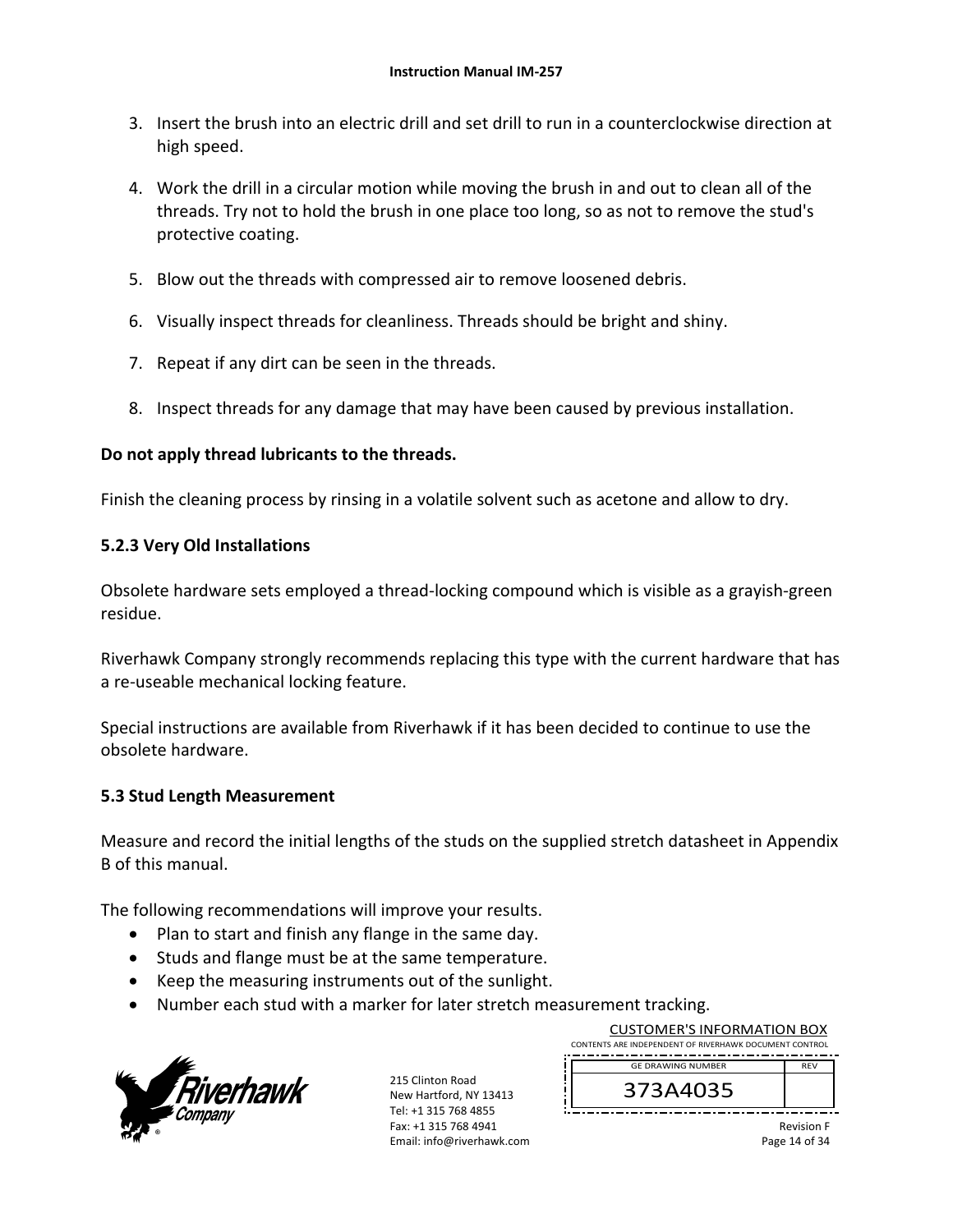- 3. Insert the brush into an electric drill and set drill to run in a counterclockwise direction at high speed.
- 4. Work the drill in a circular motion while moving the brush in and out to clean all of the threads. Try not to hold the brush in one place too long, so as not to remove the stud's protective coating.
- 5. Blow out the threads with compressed air to remove loosened debris.
- 6. Visually inspect threads for cleanliness. Threads should be bright and shiny.
- 7. Repeat if any dirt can be seen in the threads.
- 8. Inspect threads for any damage that may have been caused by previous installation.

### **Do not apply thread lubricants to the threads.**

Finish the cleaning process by rinsing in a volatile solvent such as acetone and allow to dry.

### **5.2.3 Very Old Installations**

Obsolete hardware sets employed a thread‐locking compound which is visible as a grayish‐green residue.

Riverhawk Company strongly recommends replacing this type with the current hardware that has a re‐useable mechanical locking feature.

Special instructions are available from Riverhawk if it has been decided to continue to use the obsolete hardware.

### **5.3 Stud Length Measurement**

Measure and record the initial lengths of the studs on the supplied stretch datasheet in Appendix B of this manual.

The following recommendations will improve your results.

- Plan to start and finish any flange in the same day.
- Studs and flange must be at the same temperature.
- Keep the measuring instruments out of the sunlight.
- Number each stud with a marker for later stretch measurement tracking.



215 Clinton Road New Hartford, NY 13413 Tel: +1 315 768 4855 Fax: +1 315 768 4941 Email: info@riverhawk.com

| <b>CUSTOMER'S INFORMATION BOX</b><br>CONTENTS ARE INDEPENDENT OF RIVERHAWK DOCUMENT CONTROL |            |  |
|---------------------------------------------------------------------------------------------|------------|--|
| <b>GE DRAWING NUMBER</b>                                                                    | <b>RFV</b> |  |
| 373A4035                                                                                    |            |  |

Revision F Page 14 of 34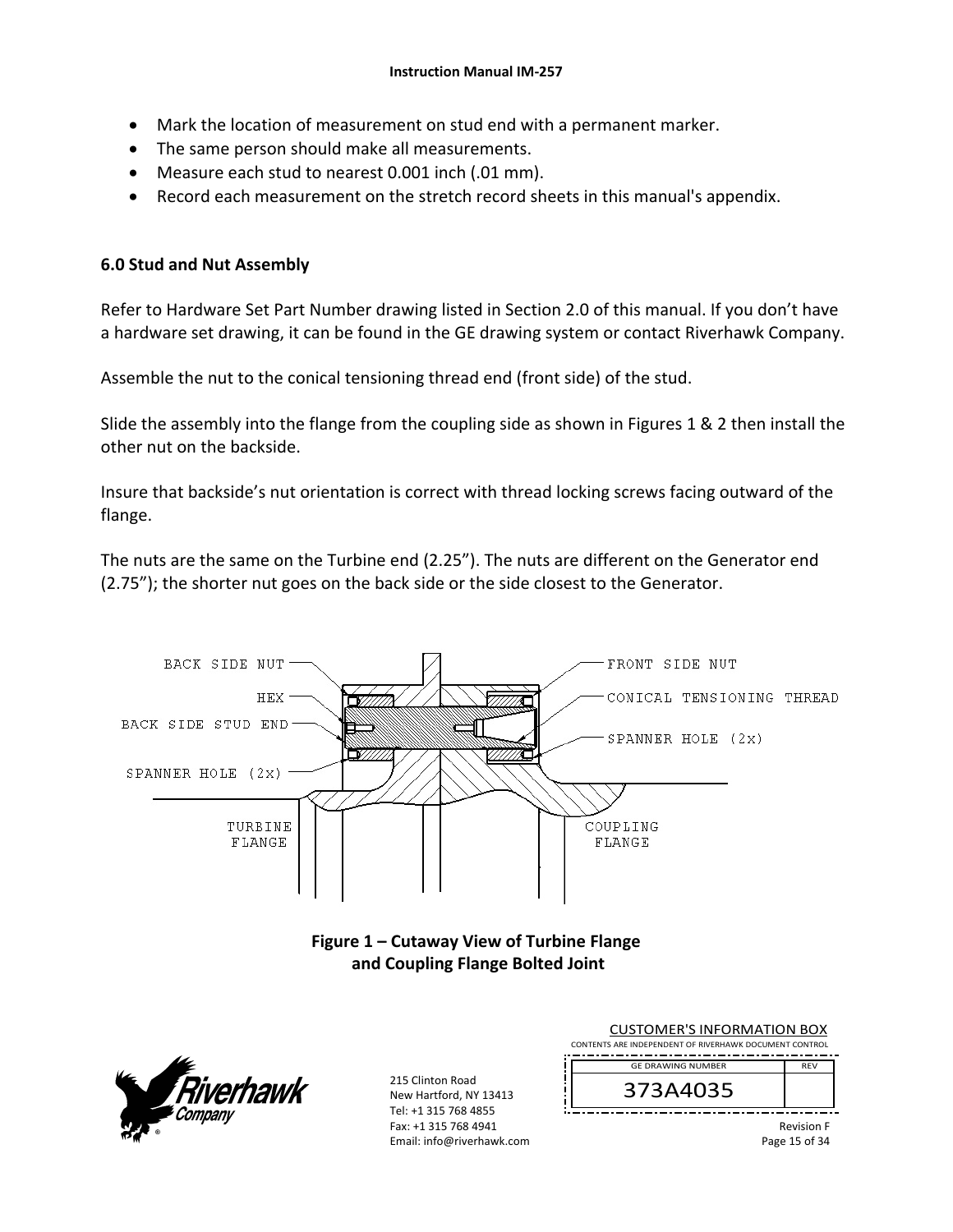- Mark the location of measurement on stud end with a permanent marker.
- The same person should make all measurements.
- Measure each stud to nearest 0.001 inch (.01 mm).
- Record each measurement on the stretch record sheets in this manual's appendix.

### **6.0 Stud and Nut Assembly**

Refer to Hardware Set Part Number drawing listed in Section 2.0 of this manual. If you don't have a hardware set drawing, it can be found in the GE drawing system or contact Riverhawk Company.

Assemble the nut to the conical tensioning thread end (front side) of the stud.

Slide the assembly into the flange from the coupling side as shown in Figures 1 & 2 then install the other nut on the backside.

Insure that backside's nut orientation is correct with thread locking screws facing outward of the flange.

The nuts are the same on the Turbine end (2.25"). The nuts are different on the Generator end (2.75"); the shorter nut goes on the back side or the side closest to the Generator.



New Hartford, NY 13413 Tel: +1 315 768 4855 Fax: +1 315 768 4941 Email: info@riverhawk.com

hawk

373A4035

Revision F Page 15 of 34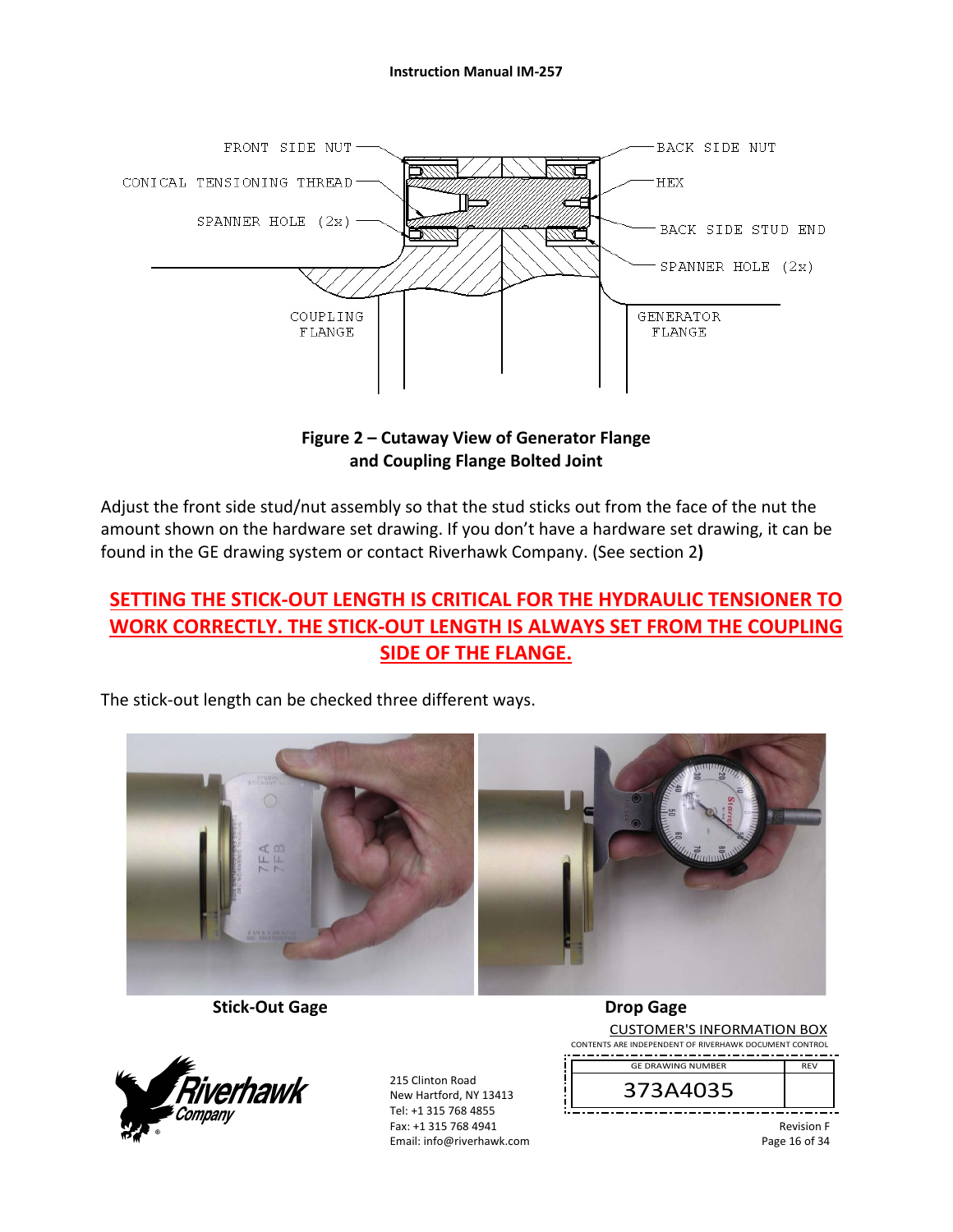

**Figure 2 – Cutaway View of Generator Flange and Coupling Flange Bolted Joint** 

Adjust the front side stud/nut assembly so that the stud sticks out from the face of the nut the amount shown on the hardware set drawing. If you don't have a hardware set drawing, it can be found in the GE drawing system or contact Riverhawk Company. (See section 2**)** 

# **SETTING THE STICK‐OUT LENGTH IS CRITICAL FOR THE HYDRAULIC TENSIONER TO WORK CORRECTLY. THE STICK‐OUT LENGTH IS ALWAYS SET FROM THE COUPLING SIDE OF THE FLANGE.**

The stick‐out length can be checked three different ways.



 **Stick‐Out Gage Drop Gage** 



215 Clinton Road New Hartford, NY 13413 Tel: +1 315 768 4855 Fax: +1 315 768 4941 Email: info@riverhawk.com

CUSTOMER'S INFORMATION BOX CONTENTS ARE INDEPENDENT OF RIVERHAWK DOCUMENT CONTROL REV GE DRAWING NUMBER

373A4035

Revision F Page 16 of 34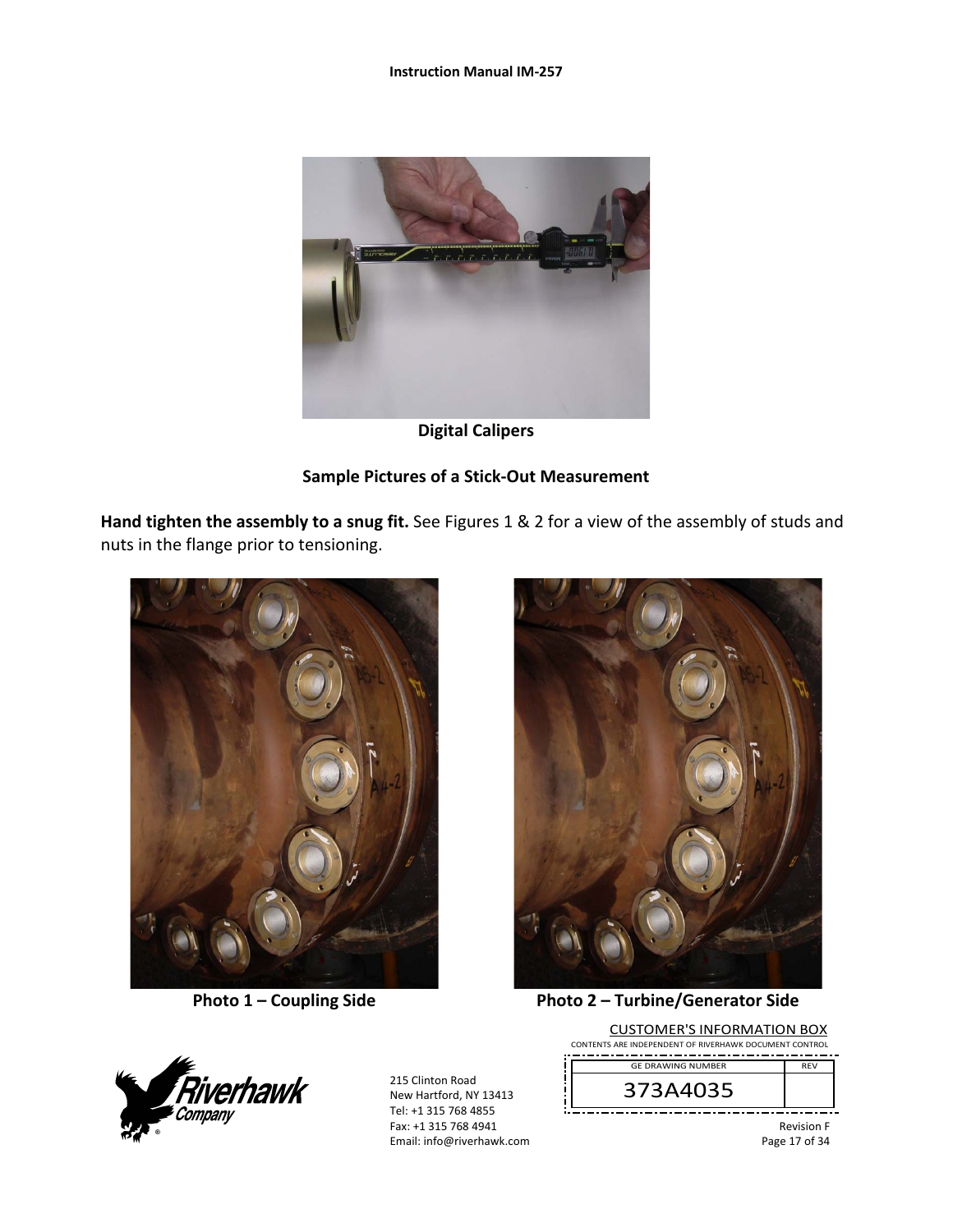#### **Instruction Manual IM‐257**



**Digital Calipers** 

### **Sample Pictures of a Stick‐Out Measurement**

**Hand tighten the assembly to a snug fit.** See Figures 1 & 2 for a view of the assembly of studs and nuts in the flange prior to tensioning.





**Photo 1 – Coupling Side Photo 2 – Turbine/Generator Side** 



215 Clinton Road New Hartford, NY 13413 Tel: +1 315 768 4855 Fax: +1 315 768 4941 Email: info@riverhawk.com

CUSTOMER'S INFORMATION BOX CONTENTS ARE INDEPENDENT OF RIVERHAWK DOCUMENT CONTROL REV GE DRAWING NUMBER



Revision F Page 17 of 34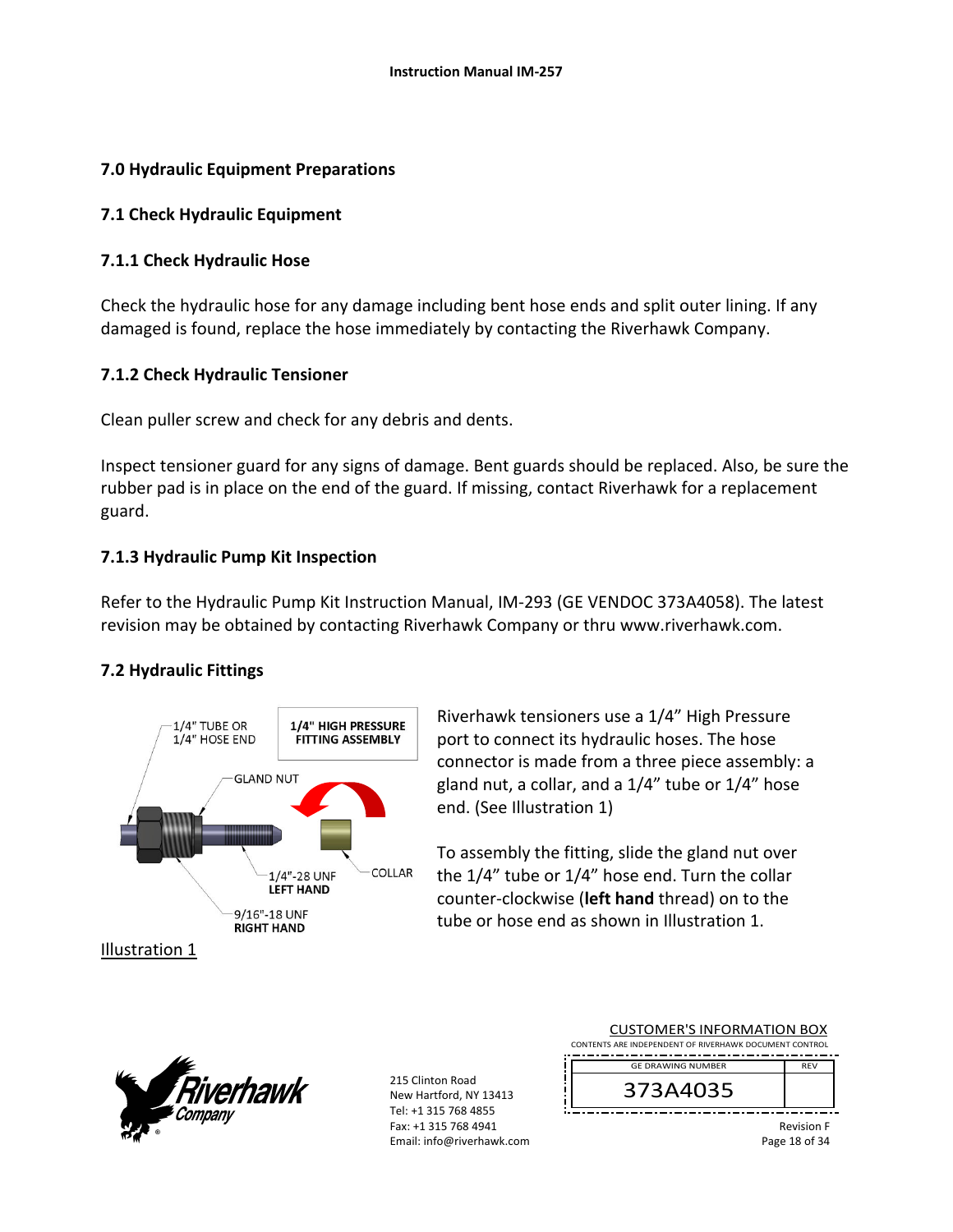### **7.0 Hydraulic Equipment Preparations**

### **7.1 Check Hydraulic Equipment**

## **7.1.1 Check Hydraulic Hose**

Check the hydraulic hose for any damage including bent hose ends and split outer lining. If any damaged is found, replace the hose immediately by contacting the Riverhawk Company.

## **7.1.2 Check Hydraulic Tensioner**

Clean puller screw and check for any debris and dents.

Inspect tensioner guard for any signs of damage. Bent guards should be replaced. Also, be sure the rubber pad is in place on the end of the guard. If missing, contact Riverhawk for a replacement guard.

## **7.1.3 Hydraulic Pump Kit Inspection**

Refer to the Hydraulic Pump Kit Instruction Manual, IM‐293 (GE VENDOC 373A4058). The latest revision may be obtained by contacting Riverhawk Company or thru www.riverhawk.com.

## **7.2 Hydraulic Fittings**



Riverhawk tensioners use a 1/4" High Pressure port to connect its hydraulic hoses. The hose connector is made from a three piece assembly: a gland nut, a collar, and a 1/4" tube or 1/4" hose end. (See Illustration 1)

To assembly the fitting, slide the gland nut over the 1/4" tube or 1/4" hose end. Turn the collar counter‐clockwise (**left hand** thread) on to the tube or hose end as shown in Illustration 1.



| <b>CUSTOMER'S INFORMATION BOX</b><br>CONTENTS ARE INDEPENDENT OF RIVERHAWK DOCUMENT CONTROL |            |
|---------------------------------------------------------------------------------------------|------------|
| <b>GE DRAWING NUMBER</b>                                                                    | <b>RFV</b> |
| 373A4035                                                                                    |            |
|                                                                                             | - - - -    |

Revision F Page 18 of 34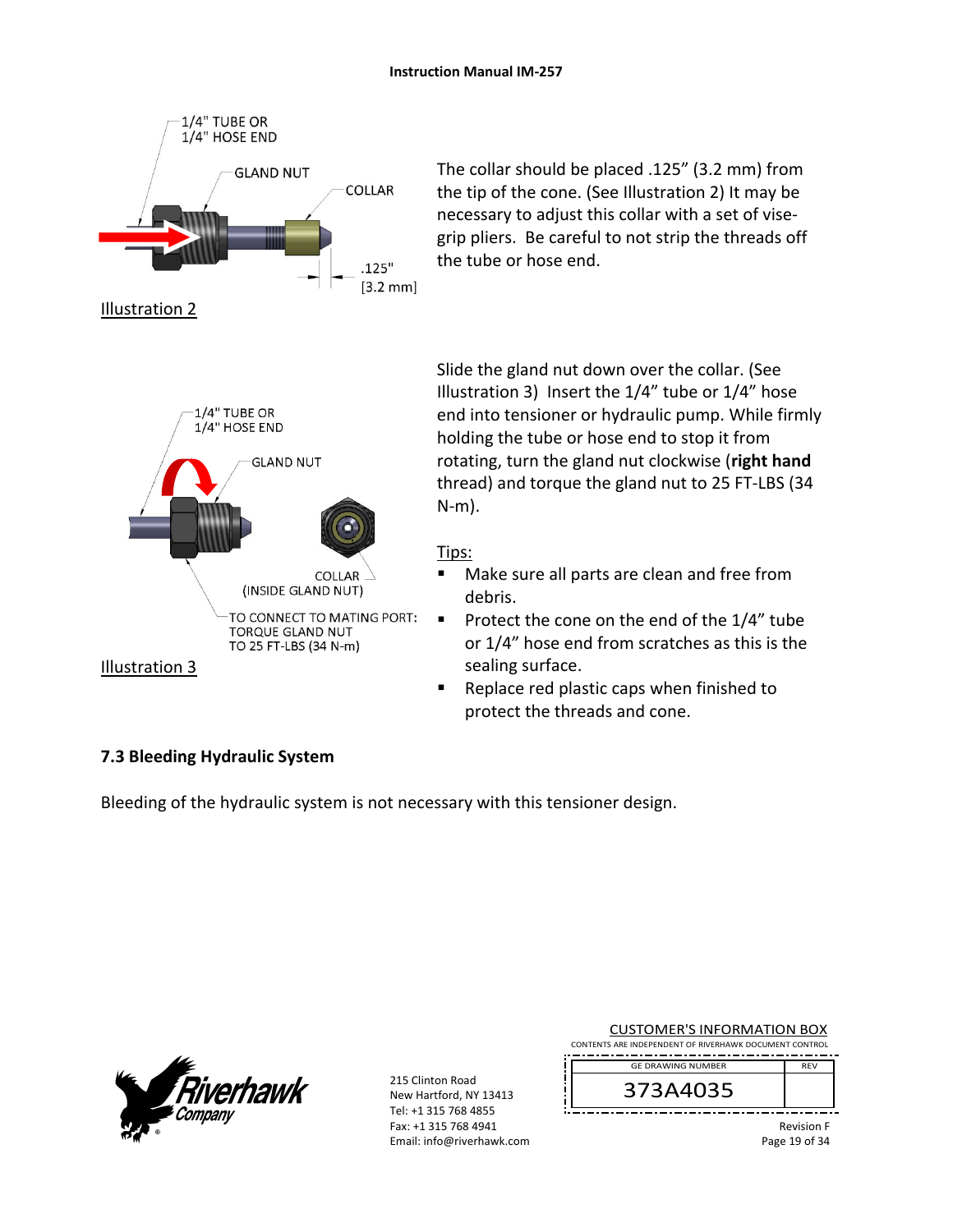

The collar should be placed .125" (3.2 mm) from the tip of the cone. (See Illustration 2) It may be necessary to adjust this collar with a set of vise‐ grip pliers. Be careful to not strip the threads off the tube or hose end.

Slide the gland nut down over the collar. (See Illustration 3) Insert the 1/4" tube or 1/4" hose end into tensioner or hydraulic pump. While firmly holding the tube or hose end to stop it from rotating, turn the gland nut clockwise (**right hand** thread) and torque the gland nut to 25 FT‐LBS (34 N‐m).

#### Tips:

- Make sure all parts are clean and free from debris.
- Protect the cone on the end of the  $1/4$ " tube or 1/4" hose end from scratches as this is the sealing surface.
- Replace red plastic caps when finished to protect the threads and cone.

### **7.3 Bleeding Hydraulic System**

Bleeding of the hydraulic system is not necessary with this tensioner design.

| $\mathcal{L}$ | <i>Fiverhawk</i><br>Company |
|---------------|-----------------------------|
|               |                             |

215 Clinton Road New Hartford, NY 13413 Tel: +1 315 768 4855 Fax: +1 315 768 4941 Email: info@riverhawk.com

| <b>CUSTOMER'S INFORMATION BOX</b>                      |  |
|--------------------------------------------------------|--|
| CONTENTS ARE INDEPENDENT OF RIVERHAWK DOCUMENT CONTROL |  |
| <b>GE DRAWING NUMBER</b>                               |  |
|                                                        |  |

373A4035

Revision F Page 19 of 34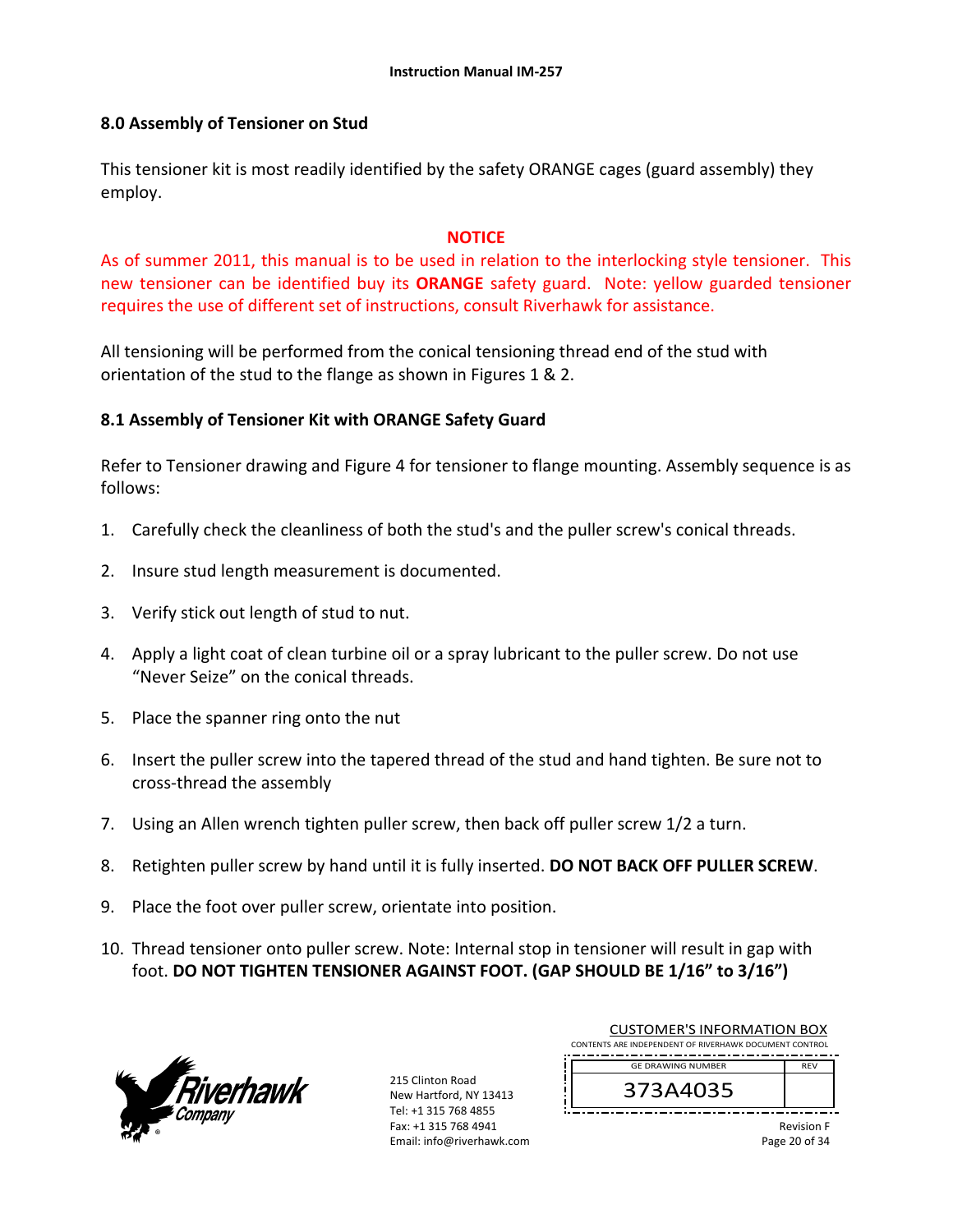### **8.0 Assembly of Tensioner on Stud**

This tensioner kit is most readily identified by the safety ORANGE cages (guard assembly) they employ.

#### **NOTICE**

As of summer 2011, this manual is to be used in relation to the interlocking style tensioner. This new tensioner can be identified buy its **ORANGE** safety guard. Note: vellow guarded tensioner requires the use of different set of instructions, consult Riverhawk for assistance.

All tensioning will be performed from the conical tensioning thread end of the stud with orientation of the stud to the flange as shown in Figures 1 & 2.

### **8.1 Assembly of Tensioner Kit with ORANGE Safety Guard**

Refer to Tensioner drawing and Figure 4 for tensioner to flange mounting. Assembly sequence is as follows:

- 1. Carefully check the cleanliness of both the stud's and the puller screw's conical threads.
- 2. Insure stud length measurement is documented.
- 3. Verify stick out length of stud to nut.
- 4. Apply a light coat of clean turbine oil or a spray lubricant to the puller screw. Do not use "Never Seize" on the conical threads.
- 5. Place the spanner ring onto the nut
- 6. Insert the puller screw into the tapered thread of the stud and hand tighten. Be sure not to cross‐thread the assembly
- 7. Using an Allen wrench tighten puller screw, then back off puller screw 1/2 a turn.
- 8. Retighten puller screw by hand until it is fully inserted. **DO NOT BACK OFF PULLER SCREW**.
- 9. Place the foot over puller screw, orientate into position.
- 10. Thread tensioner onto puller screw. Note: Internal stop in tensioner will result in gap with foot. **DO NOT TIGHTEN TENSIONER AGAINST FOOT. (GAP SHOULD BE 1/16" to 3/16")**



215 Clinton Road New Hartford, NY 13413 Tel: +1 315 768 4855 Fax: +1 315 768 4941 Email: info@riverhawk.com

| <b>CUSTOMER'S INFORMATION BOX</b>                      |            |
|--------------------------------------------------------|------------|
| CONTENTS ARE INDEPENDENT OF RIVERHAWK DOCUMENT CONTROL |            |
| <b>GE DRAWING NUMBER</b>                               | <b>REV</b> |
|                                                        |            |

373A4035

Revision F Page 20 of 34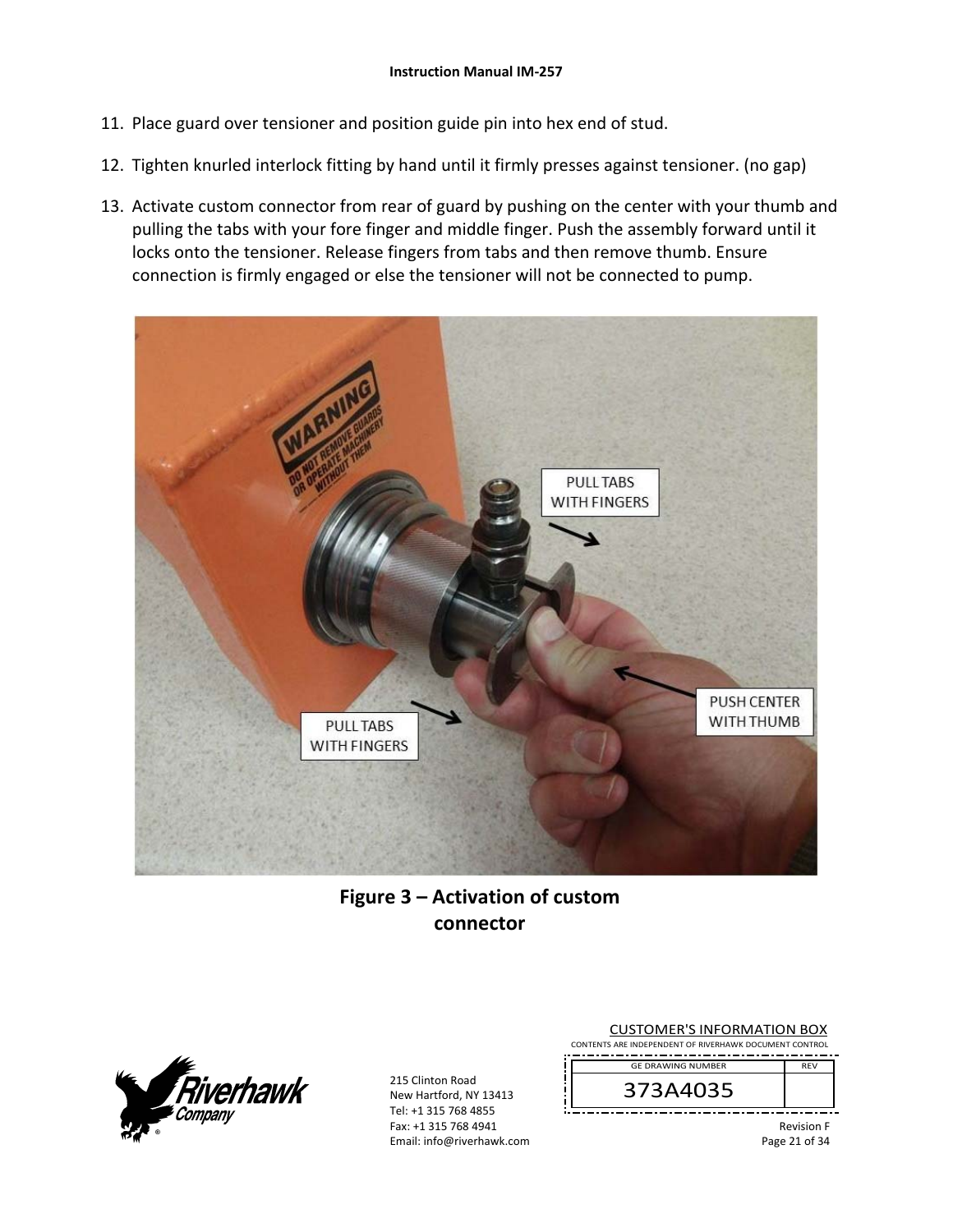- 11. Place guard over tensioner and position guide pin into hex end of stud.
- 12. Tighten knurled interlock fitting by hand until it firmly presses against tensioner. (no gap)
- 13. Activate custom connector from rear of guard by pushing on the center with your thumb and pulling the tabs with your fore finger and middle finger. Push the assembly forward until it locks onto the tensioner. Release fingers from tabs and then remove thumb. Ensure connection is firmly engaged or else the tensioner will not be connected to pump.



# **Figure 3 – Activation of custom connector**



215 Clinton Road New Hartford, NY 13413 Tel: +1 315 768 4855 Fax: +1 315 768 4941 Email: info@riverhawk.com

| <b>CUSTOMER'S INFORMATION BOX</b><br>CONTENTS ARE INDEPENDENT OF RIVERHAWK DOCUMENT CONTROL |            |
|---------------------------------------------------------------------------------------------|------------|
| <b>GE DRAWING NUMBER</b>                                                                    | <b>RFV</b> |
| 373 A 403 F                                                                                 |            |



Revision F Page 21 of 34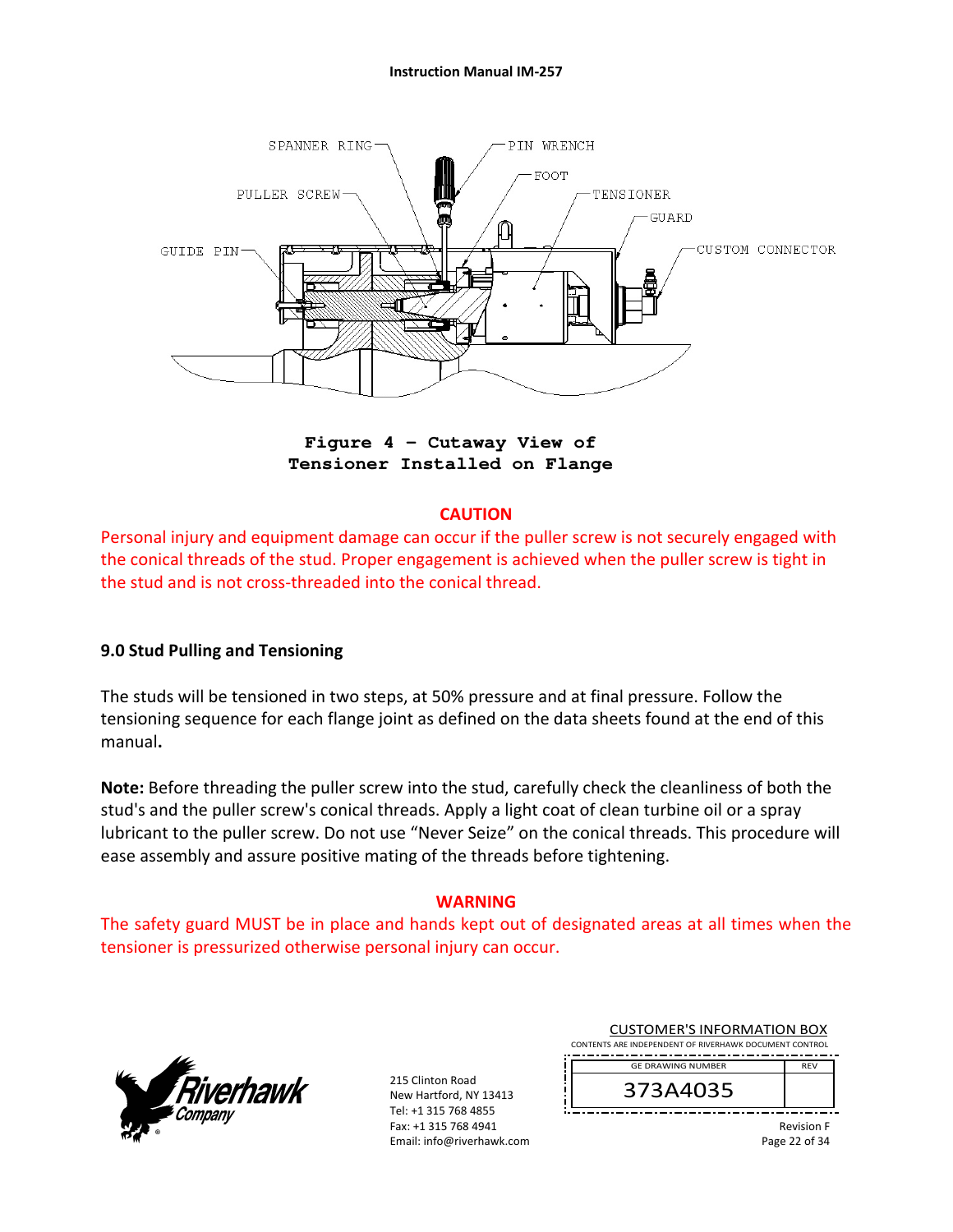#### **Instruction Manual IM‐257**



**Figure 4 – Cutaway View of Tensioner Installed on Flange** 

### **CAUTION**

Personal injury and equipment damage can occur if the puller screw is not securely engaged with the conical threads of the stud. Proper engagement is achieved when the puller screw is tight in the stud and is not cross‐threaded into the conical thread.

### **9.0 Stud Pulling and Tensioning**

The studs will be tensioned in two steps, at 50% pressure and at final pressure. Follow the tensioning sequence for each flange joint as defined on the data sheets found at the end of this manual**.** 

**Note:** Before threading the puller screw into the stud, carefully check the cleanliness of both the stud's and the puller screw's conical threads. Apply a light coat of clean turbine oil or a spray lubricant to the puller screw. Do not use "Never Seize" on the conical threads. This procedure will ease assembly and assure positive mating of the threads before tightening.

#### **WARNING**

The safety guard MUST be in place and hands kept out of designated areas at all times when the tensioner is pressurized otherwise personal injury can occur.



215 Clinton Road New Hartford, NY 13413 Tel: +1 315 768 4855 Fax: +1 315 768 4941 Email: info@riverhawk.com

| <b>CUSTOMER'S INFORMATION BOX</b>                      |            |  |
|--------------------------------------------------------|------------|--|
| CONTENTS ARE INDEPENDENT OF RIVERHAWK DOCUMENT CONTROL |            |  |
| <b>GE DRAWING NUMBER</b>                               | <b>RFV</b> |  |
| 373A4035                                               |            |  |

Revision F Page 22 of 34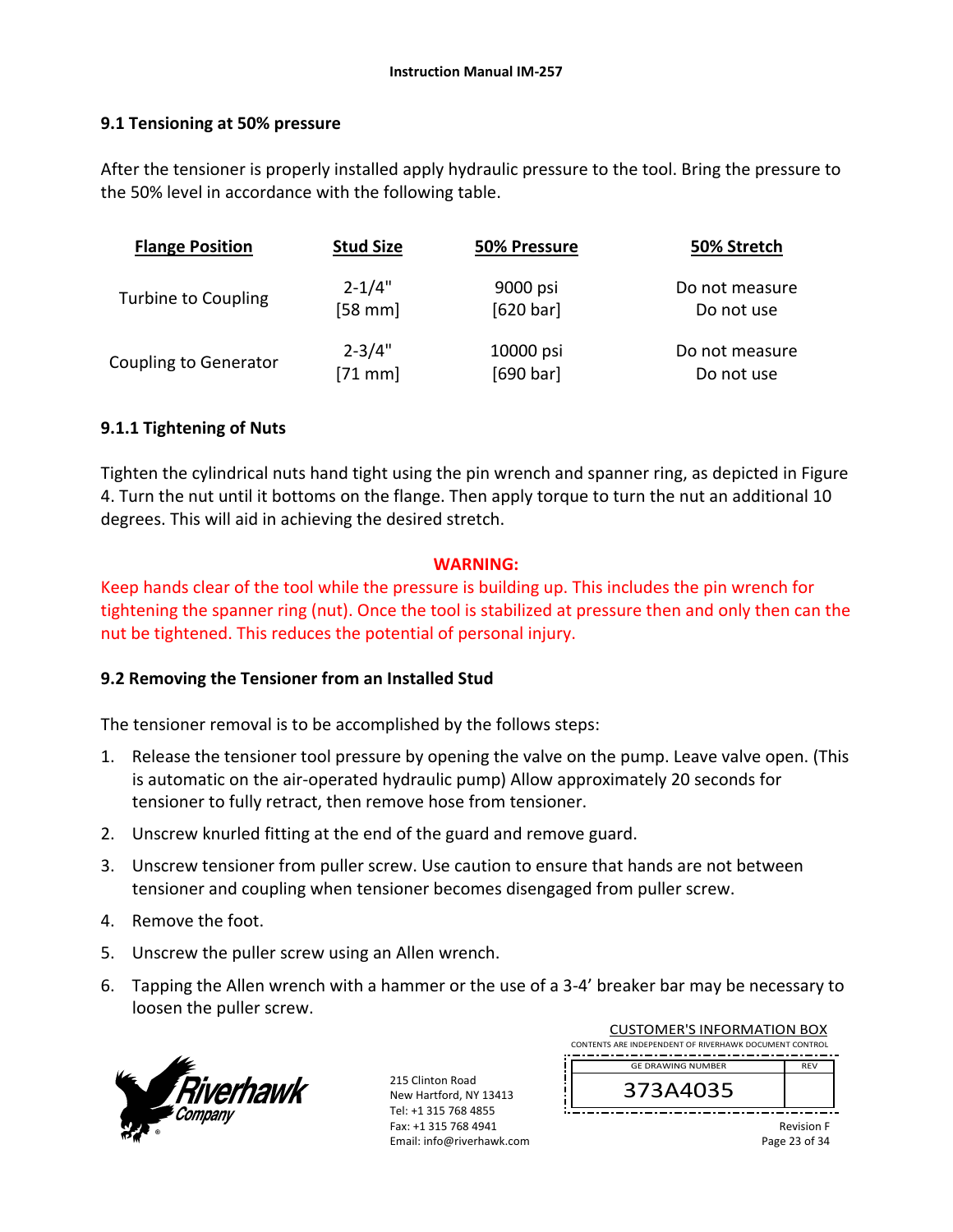### **9.1 Tensioning at 50% pressure**

After the tensioner is properly installed apply hydraulic pressure to the tool. Bring the pressure to the 50% level in accordance with the following table.

| <b>Flange Position</b>       | <b>Stud Size</b> | 50% Pressure | 50% Stretch    |
|------------------------------|------------------|--------------|----------------|
| Turbine to Coupling          | $2 - 1/4"$       | 9000 psi     | Do not measure |
|                              | $[58$ mm]        | [620 bar]    | Do not use     |
| <b>Coupling to Generator</b> | $2 - 3/4"$       | 10000 psi    | Do not measure |
|                              | $[71$ mm]        | [690 bar]    | Do not use     |

### **9.1.1 Tightening of Nuts**

Tighten the cylindrical nuts hand tight using the pin wrench and spanner ring, as depicted in Figure 4. Turn the nut until it bottoms on the flange. Then apply torque to turn the nut an additional 10 degrees. This will aid in achieving the desired stretch.

#### **WARNING:**

Keep hands clear of the tool while the pressure is building up. This includes the pin wrench for tightening the spanner ring (nut). Once the tool is stabilized at pressure then and only then can the nut be tightened. This reduces the potential of personal injury.

### **9.2 Removing the Tensioner from an Installed Stud**

The tensioner removal is to be accomplished by the follows steps:

- 1. Release the tensioner tool pressure by opening the valve on the pump. Leave valve open. (This is automatic on the air‐operated hydraulic pump) Allow approximately 20 seconds for tensioner to fully retract, then remove hose from tensioner.
- 2. Unscrew knurled fitting at the end of the guard and remove guard.
- 3. Unscrew tensioner from puller screw. Use caution to ensure that hands are not between tensioner and coupling when tensioner becomes disengaged from puller screw.
- 4. Remove the foot.
- 5. Unscrew the puller screw using an Allen wrench.
- 6. Tapping the Allen wrench with a hammer or the use of a 3‐4' breaker bar may be necessary to loosen the puller screw.



|  | <b>CUSTOMER'S INFORMATION BOX</b><br>CONTENTS ARE INDEPENDENT OF RIVERHAWK DOCUMENT CONTROL |            |
|--|---------------------------------------------------------------------------------------------|------------|
|  | <b>GE DRAWING NUMBER</b>                                                                    | <b>RFV</b> |
|  | 373A4035                                                                                    |            |
|  |                                                                                             |            |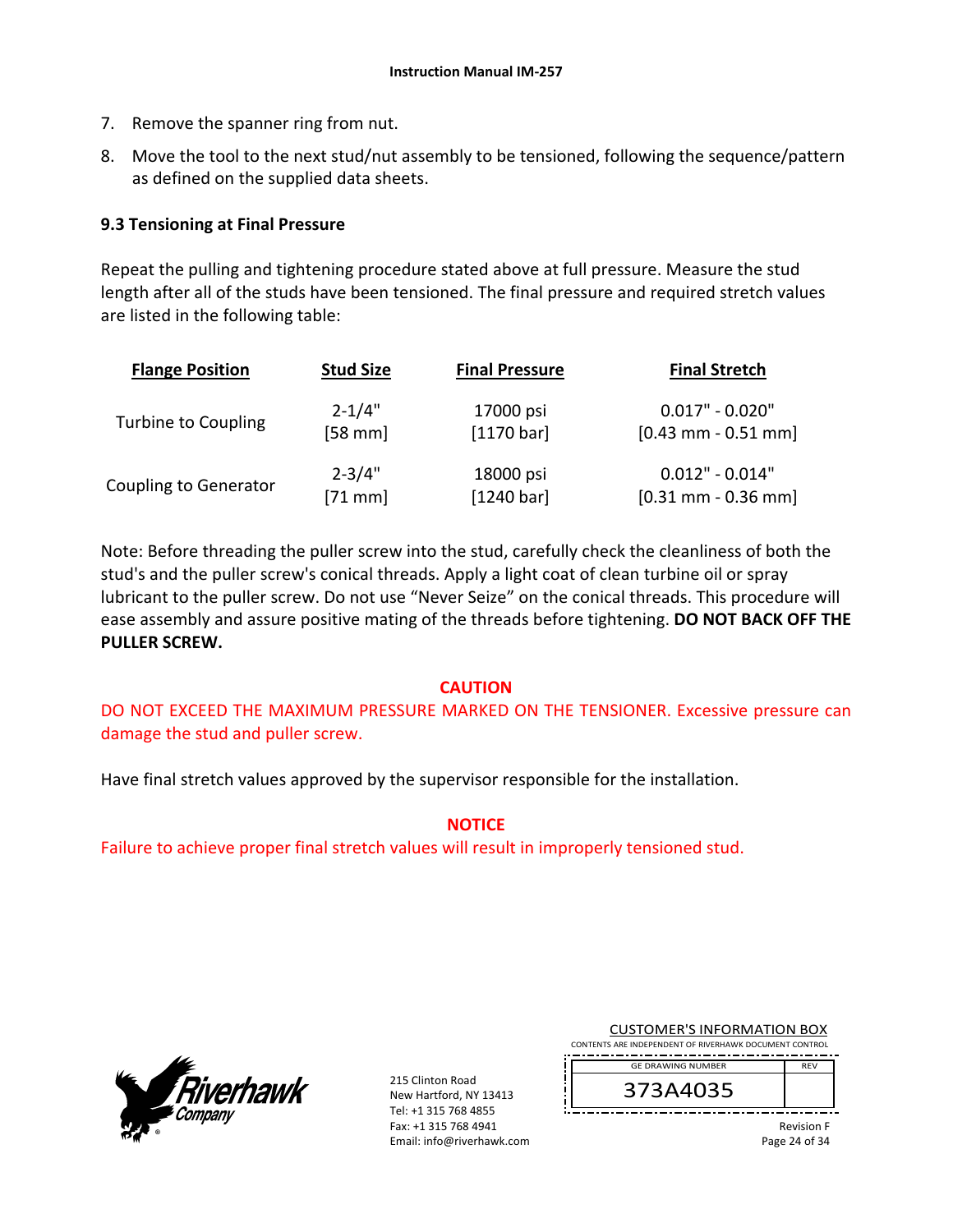- 7. Remove the spanner ring from nut.
- 8. Move the tool to the next stud/nut assembly to be tensioned, following the sequence/pattern as defined on the supplied data sheets.

### **9.3 Tensioning at Final Pressure**

Repeat the pulling and tightening procedure stated above at full pressure. Measure the stud length after all of the studs have been tensioned. The final pressure and required stretch values are listed in the following table:

| <b>Flange Position</b>       | <b>Stud Size</b> | <b>Final Pressure</b> | <b>Final Stretch</b>  |
|------------------------------|------------------|-----------------------|-----------------------|
| Turbine to Coupling          | $2 - 1/4"$       | 17000 psi             | $0.017" - 0.020"$     |
|                              | $[58$ mm]        | [1170 bar]            | $[0.43$ mm - 0.51 mm] |
| <b>Coupling to Generator</b> | $2 - 3/4"$       | 18000 psi             | $0.012" - 0.014"$     |
|                              | $[71$ mm]        | [1240 bar]            | $[0.31$ mm - 0.36 mm] |

Note: Before threading the puller screw into the stud, carefully check the cleanliness of both the stud's and the puller screw's conical threads. Apply a light coat of clean turbine oil or spray lubricant to the puller screw. Do not use "Never Seize" on the conical threads. This procedure will ease assembly and assure positive mating of the threads before tightening. **DO NOT BACK OFF THE PULLER SCREW.**

### **CAUTION**

DO NOT EXCEED THE MAXIMUM PRESSURE MARKED ON THE TENSIONER. Excessive pressure can damage the stud and puller screw.

Have final stretch values approved by the supervisor responsible for the installation.

**NOTICE** 

Failure to achieve proper final stretch values will result in improperly tensioned stud.



215 Clinton Road New Hartford, NY 13413 Tel: +1 315 768 4855 Fax: +1 315 768 4941 Email: info@riverhawk.com

| <b>CUSTOMER'S INFORMATION BOX</b>                      |            |
|--------------------------------------------------------|------------|
| CONTENTS ARE INDEPENDENT OF RIVERHAWK DOCUMENT CONTROL |            |
|                                                        |            |
| <b>GE DRAWING NUMBER</b>                               | <b>RFV</b> |

373A4035

Revision F Page 24 of 34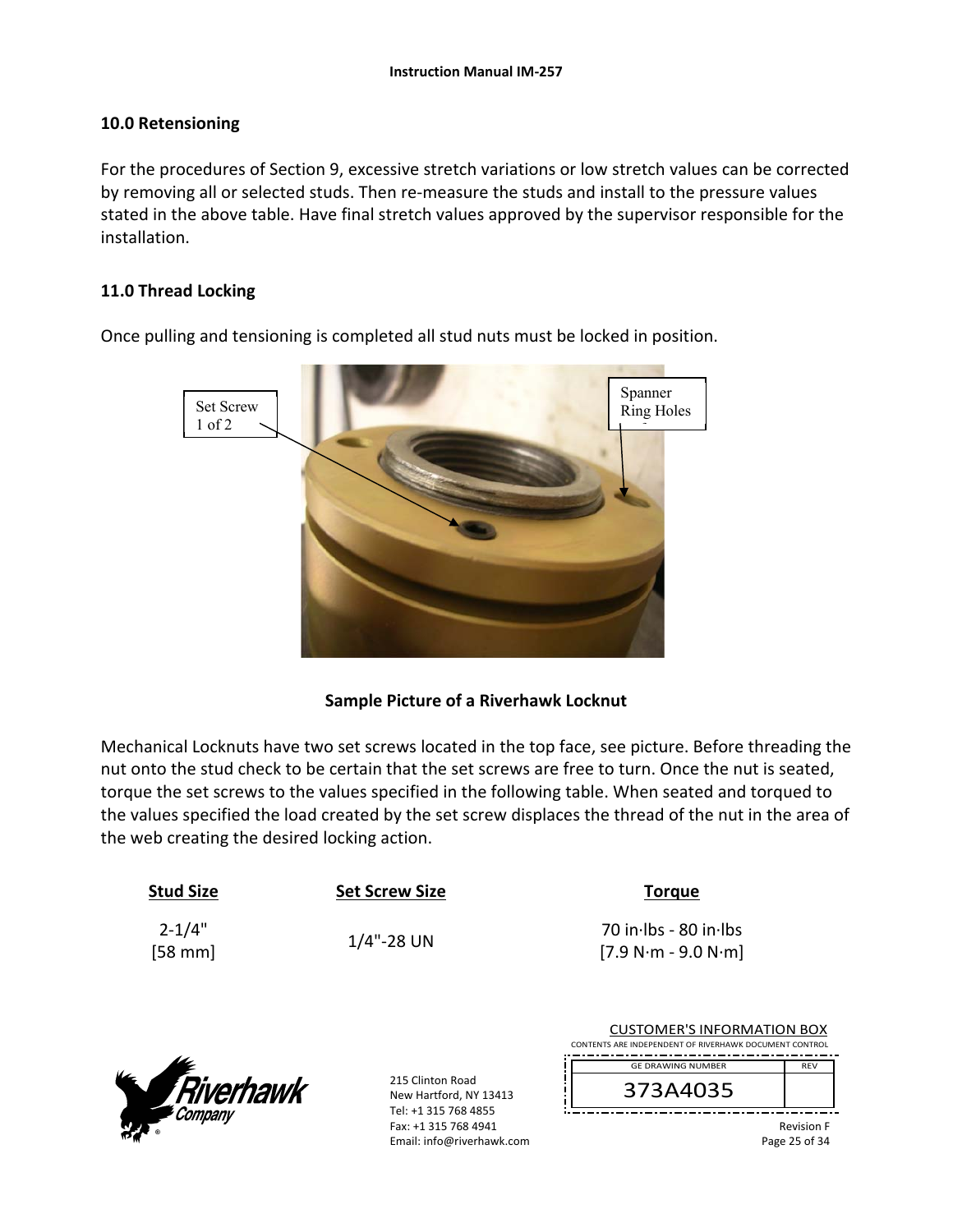### **10.0 Retensioning**

For the procedures of Section 9, excessive stretch variations or low stretch values can be corrected by removing all or selected studs. Then re-measure the studs and install to the pressure values stated in the above table. Have final stretch values approved by the supervisor responsible for the installation.

### **11.0 Thread Locking**

Set Screw 1 of 2 Spanner Ring Holes f

Once pulling and tensioning is completed all stud nuts must be locked in position.

### **Sample Picture of a Riverhawk Locknut**

Mechanical Locknuts have two set screws located in the top face, see picture. Before threading the nut onto the stud check to be certain that the set screws are free to turn. Once the nut is seated, torque the set screws to the values specified in the following table. When seated and torqued to the values specified the load created by the set screw displaces the thread of the nut in the area of the web creating the desired locking action.

| <b>Stud Size</b>       | <b>Set Screw Size</b> | <b>Torque</b>                                  |
|------------------------|-----------------------|------------------------------------------------|
| $2 - 1/4"$<br>$[58$ mm | $1/4$ "-28 UN         | 70 in Ibs - 80 in Ibs<br>$[7.9 N·m - 9.0 N·m]$ |
|                        |                       |                                                |



| <b>CUSTOMER'S INFORMATION BOX</b><br>CONTENTS ARE INDEPENDENT OF RIVERHAWK DOCUMENT CONTROL |                   |
|---------------------------------------------------------------------------------------------|-------------------|
| <b>GE DRAWING NUMBER</b>                                                                    | <b>RFV</b>        |
| 373A4035                                                                                    |                   |
|                                                                                             | <b>Revision F</b> |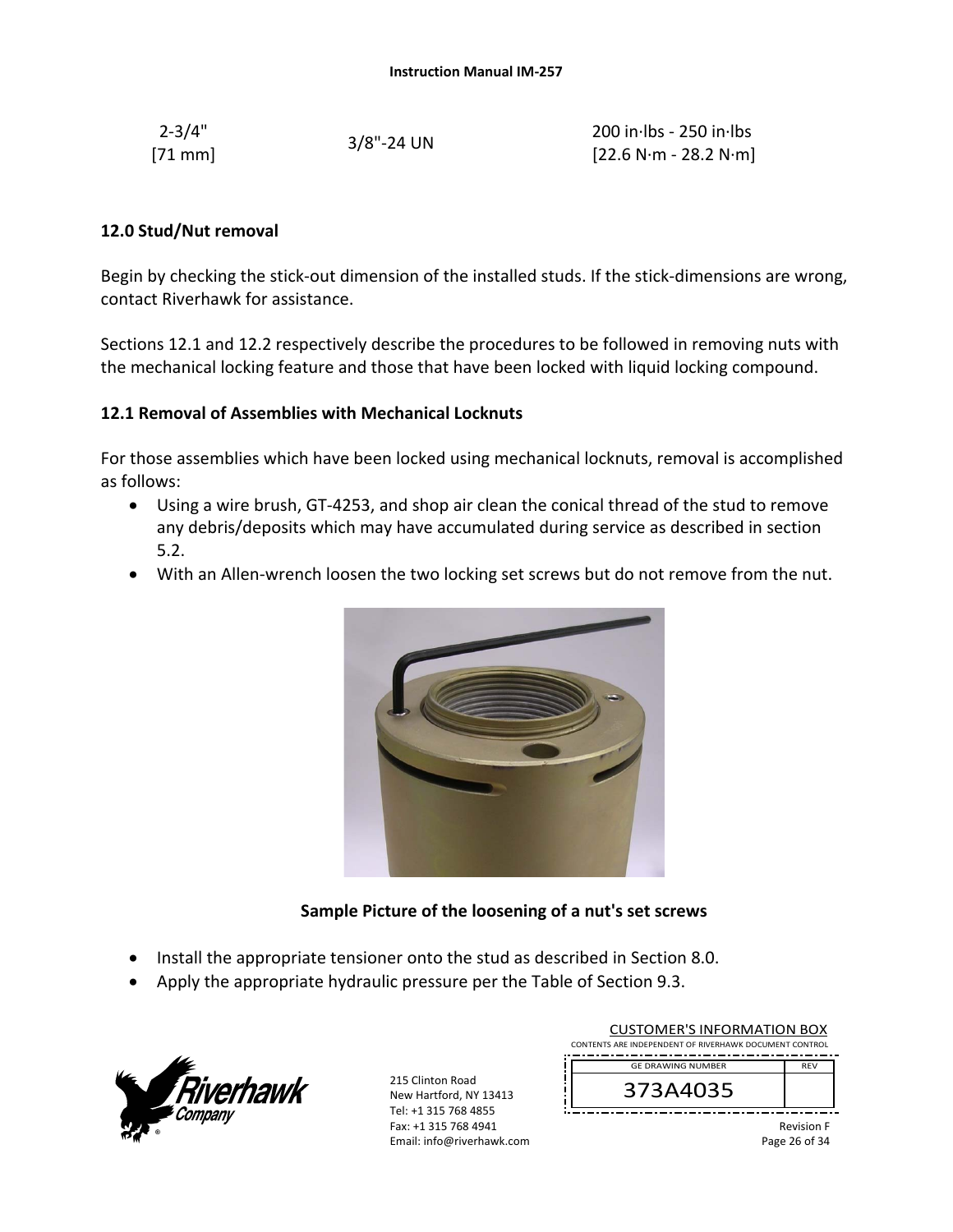| $2 - 3/4"$ | $3/8$ "-24 UN | $200$ in lbs - 250 in lbs                               |
|------------|---------------|---------------------------------------------------------|
| $[71$ mm]  |               | $[22.6 \text{ N} \cdot \text{m}$ - 28.2 N $\cdot$ m $]$ |

#### **12.0 Stud/Nut removal**

Begin by checking the stick-out dimension of the installed studs. If the stick-dimensions are wrong, contact Riverhawk for assistance.

Sections 12.1 and 12.2 respectively describe the procedures to be followed in removing nuts with the mechanical locking feature and those that have been locked with liquid locking compound.

#### **12.1 Removal of Assemblies with Mechanical Locknuts**

For those assemblies which have been locked using mechanical locknuts, removal is accomplished as follows:

- Using a wire brush, GT‐4253, and shop air clean the conical thread of the stud to remove any debris/deposits which may have accumulated during service as described in section 5.2.
- With an Allen-wrench loosen the two locking set screws but do not remove from the nut.



### **Sample Picture of the loosening of a nut's set screws**

- Install the appropriate tensioner onto the stud as described in Section 8.0.
- Apply the appropriate hydraulic pressure per the Table of Section 9.3.



215 Clinton Road New Hartford, NY 13413 Tel: +1 315 768 4855 Fax: +1 315 768 4941 Email: info@riverhawk.com

| <b>CUSTOMER'S INFORMATION BOX</b><br>CONTENTS ARE INDEPENDENT OF RIVERHAWK DOCUMENT CONTROL |            |
|---------------------------------------------------------------------------------------------|------------|
| <b>GE DRAWING NUMBER</b>                                                                    | <b>RFV</b> |
| 373A4035                                                                                    |            |

Revision F Page 26 of 34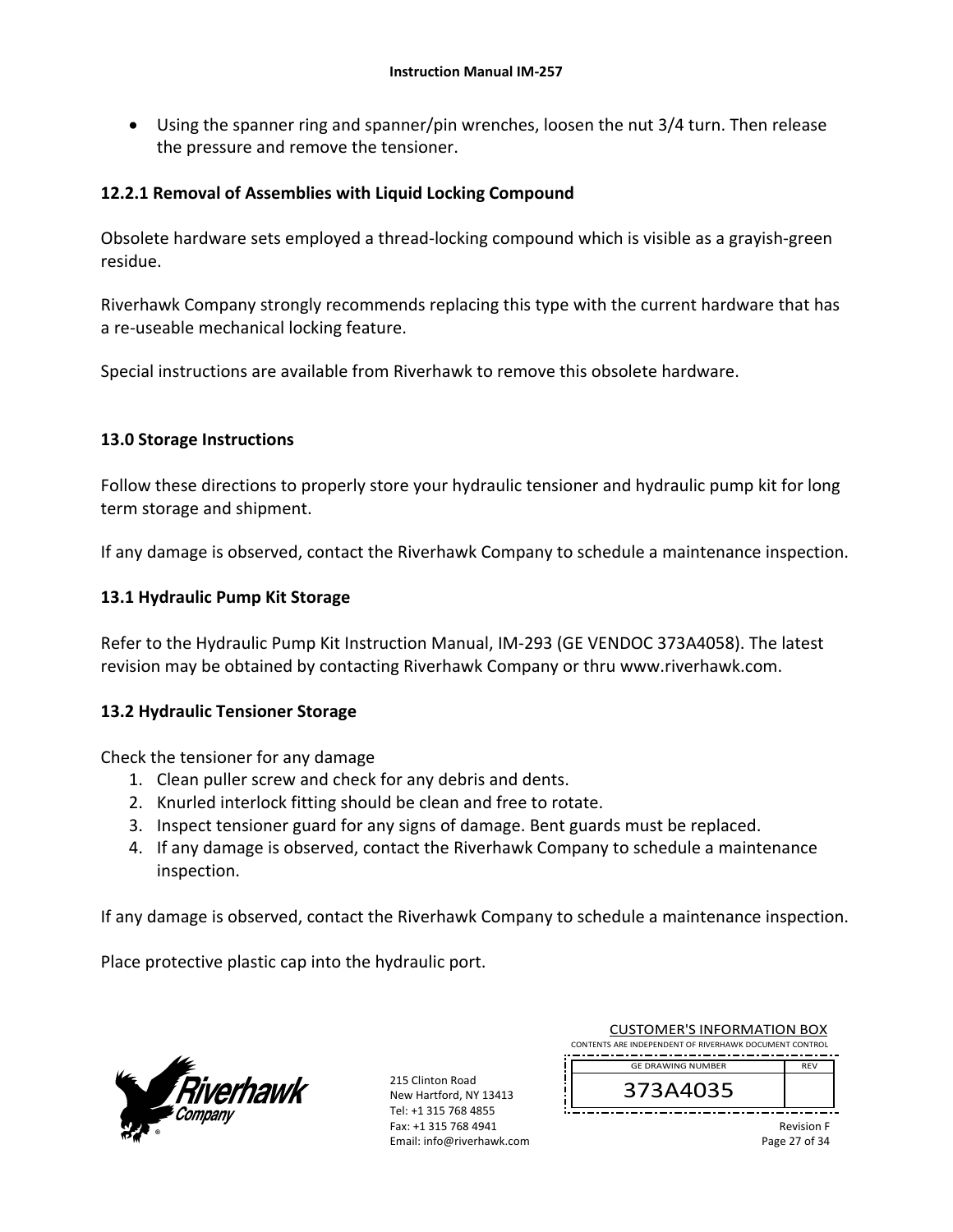Using the spanner ring and spanner/pin wrenches, loosen the nut 3/4 turn. Then release the pressure and remove the tensioner.

### **12.2.1 Removal of Assemblies with Liquid Locking Compound**

Obsolete hardware sets employed a thread‐locking compound which is visible as a grayish‐green residue.

Riverhawk Company strongly recommends replacing this type with the current hardware that has a re‐useable mechanical locking feature.

Special instructions are available from Riverhawk to remove this obsolete hardware.

### **13.0 Storage Instructions**

Follow these directions to properly store your hydraulic tensioner and hydraulic pump kit for long term storage and shipment.

If any damage is observed, contact the Riverhawk Company to schedule a maintenance inspection.

### **13.1 Hydraulic Pump Kit Storage**

Refer to the Hydraulic Pump Kit Instruction Manual, IM‐293 (GE VENDOC 373A4058). The latest revision may be obtained by contacting Riverhawk Company or thru www.riverhawk.com.

### **13.2 Hydraulic Tensioner Storage**

Check the tensioner for any damage

- 1. Clean puller screw and check for any debris and dents.
- 2. Knurled interlock fitting should be clean and free to rotate.
- 3. Inspect tensioner guard for any signs of damage. Bent guards must be replaced.
- 4. If any damage is observed, contact the Riverhawk Company to schedule a maintenance inspection.

If any damage is observed, contact the Riverhawk Company to schedule a maintenance inspection.

Place protective plastic cap into the hydraulic port.



215 Clinton Road New Hartford, NY 13413 Tel: +1 315 768 4855 Fax: +1 315 768 4941 Email: info@riverhawk.com

| <b>CUSTOMER'S INFORMATION BOX</b>                      |            |  |
|--------------------------------------------------------|------------|--|
| CONTENTS ARE INDEPENDENT OF RIVERHAWK DOCUMENT CONTROL |            |  |
| <b>GE DRAWING NUMBER</b>                               | <b>RFV</b> |  |
| 373A4035                                               |            |  |

Revision F Page 27 of 34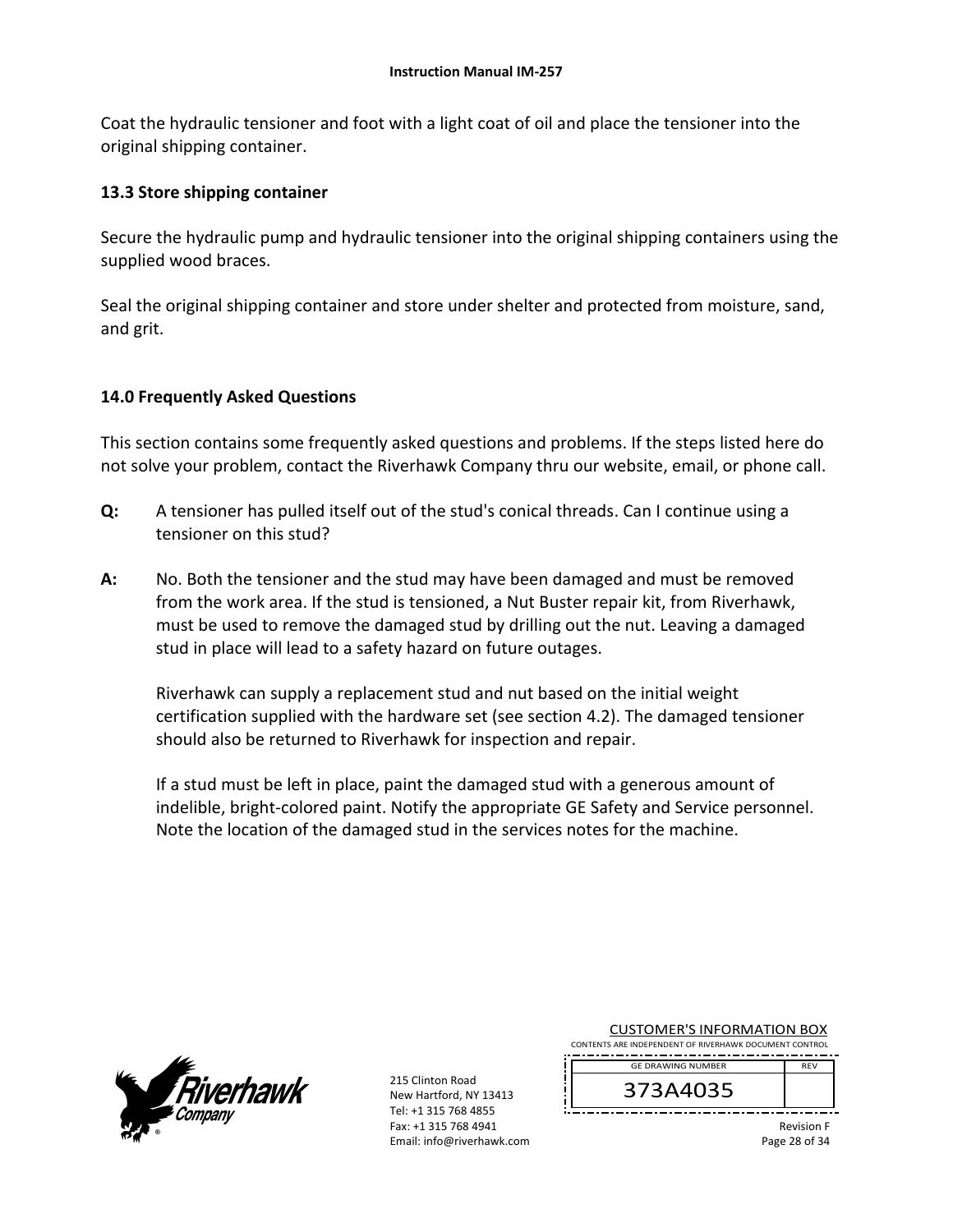Coat the hydraulic tensioner and foot with a light coat of oil and place the tensioner into the original shipping container.

### **13.3 Store shipping container**

Secure the hydraulic pump and hydraulic tensioner into the original shipping containers using the supplied wood braces.

Seal the original shipping container and store under shelter and protected from moisture, sand, and grit.

### **14.0 Frequently Asked Questions**

This section contains some frequently asked questions and problems. If the steps listed here do not solve your problem, contact the Riverhawk Company thru our website, email, or phone call.

- **Q:**  A tensioner has pulled itself out of the stud's conical threads. Can I continue using a tensioner on this stud?
- **A:**  No. Both the tensioner and the stud may have been damaged and must be removed from the work area. If the stud is tensioned, a Nut Buster repair kit, from Riverhawk, must be used to remove the damaged stud by drilling out the nut. Leaving a damaged stud in place will lead to a safety hazard on future outages.

Riverhawk can supply a replacement stud and nut based on the initial weight certification supplied with the hardware set (see section 4.2). The damaged tensioner should also be returned to Riverhawk for inspection and repair.

If a stud must be left in place, paint the damaged stud with a generous amount of indelible, bright‐colored paint. Notify the appropriate GE Safety and Service personnel. Note the location of the damaged stud in the services notes for the machine.



215 Clinton Road New Hartford, NY 13413 Tel: +1 315 768 4855 Fax: +1 315 768 4941 Email: info@riverhawk.com

| <b>CUSTOMER'S INFORMATION BOX</b><br>CONTENTS ARE INDEPENDENT OF RIVERHAWK DOCUMENT CONTROL |            |
|---------------------------------------------------------------------------------------------|------------|
|                                                                                             |            |
|                                                                                             | <b>RFV</b> |
| <b>GE DRAWING NUMBER</b>                                                                    |            |

373A4035

Revision F Page 28 of 34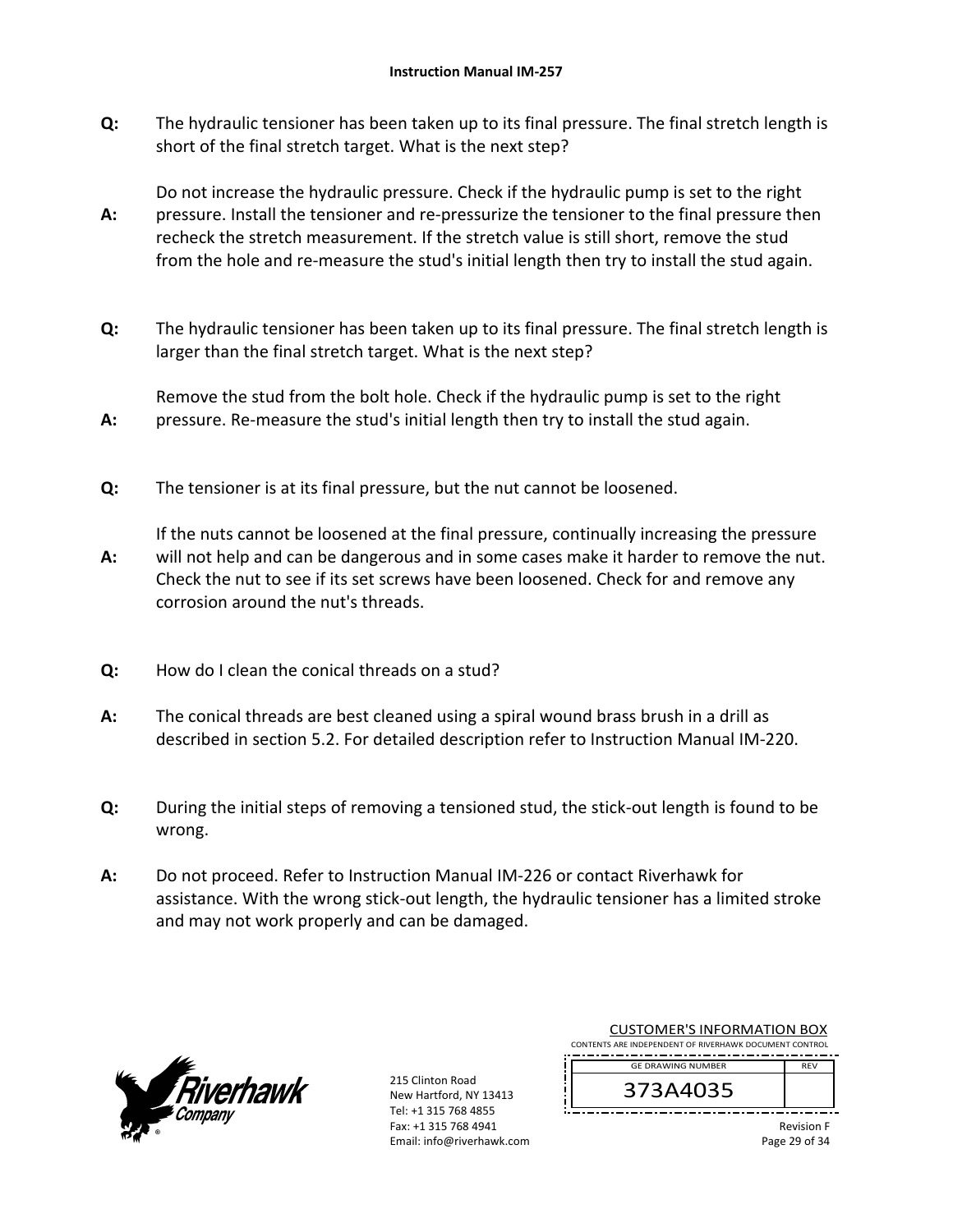**Q:**  The hydraulic tensioner has been taken up to its final pressure. The final stretch length is short of the final stretch target. What is the next step?

**A:**  Do not increase the hydraulic pressure. Check if the hydraulic pump is set to the right pressure. Install the tensioner and re‐pressurize the tensioner to the final pressure then recheck the stretch measurement. If the stretch value is still short, remove the stud from the hole and re-measure the stud's initial length then try to install the stud again.

**Q:**  The hydraulic tensioner has been taken up to its final pressure. The final stretch length is larger than the final stretch target. What is the next step?

Remove the stud from the bolt hole. Check if the hydraulic pump is set to the right pressure. Re‐measure the stud's initial length then try to install the stud again.

**Q:**  The tensioner is at its final pressure, but the nut cannot be loosened.

**A:**  If the nuts cannot be loosened at the final pressure, continually increasing the pressure will not help and can be dangerous and in some cases make it harder to remove the nut. Check the nut to see if its set screws have been loosened. Check for and remove any corrosion around the nut's threads.

- **Q:**  How do I clean the conical threads on a stud?
- **A:**  The conical threads are best cleaned using a spiral wound brass brush in a drill as described in section 5.2. For detailed description refer to Instruction Manual IM‐220.
- **Q:**  During the initial steps of removing a tensioned stud, the stick‐out length is found to be wrong.
- **A:**  Do not proceed. Refer to Instruction Manual IM‐226 or contact Riverhawk for assistance. With the wrong stick‐out length, the hydraulic tensioner has a limited stroke and may not work properly and can be damaged.



**A:** 

215 Clinton Road New Hartford, NY 13413 Tel: +1 315 768 4855 Fax: +1 315 768 4941 Email: info@riverhawk.com

| <b>CUSTOMER'S INFORMATION BOX</b> |                                                        |            |
|-----------------------------------|--------------------------------------------------------|------------|
|                                   | CONTENTS ARE INDEPENDENT OF RIVERHAWK DOCUMENT CONTROL |            |
|                                   | <b>GE DRAWING NUMBER</b>                               | <b>RFV</b> |
|                                   | 373A4035                                               |            |

Revision F Page 29 of 34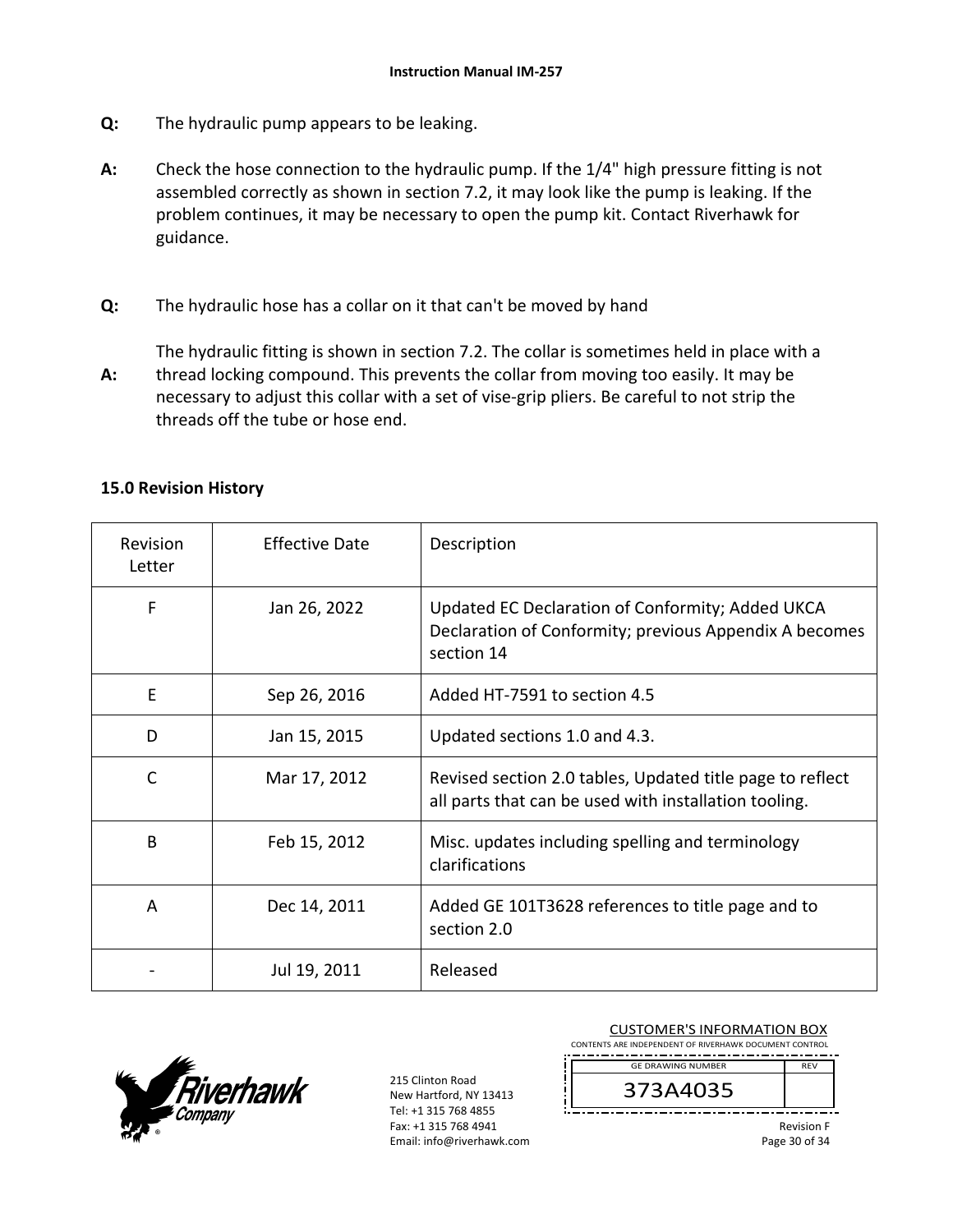- **Q:**  The hydraulic pump appears to be leaking.
- **A:**  Check the hose connection to the hydraulic pump. If the 1/4" high pressure fitting is not assembled correctly as shown in section 7.2, it may look like the pump is leaking. If the problem continues, it may be necessary to open the pump kit. Contact Riverhawk for guidance.
- **Q:**  The hydraulic hose has a collar on it that can't be moved by hand

**A:**  The hydraulic fitting is shown in section 7.2. The collar is sometimes held in place with a thread locking compound. This prevents the collar from moving too easily. It may be necessary to adjust this collar with a set of vise‐grip pliers. Be careful to not strip the threads off the tube or hose end.

| Revision<br>Letter | <b>Effective Date</b> | Description                                                                                                              |
|--------------------|-----------------------|--------------------------------------------------------------------------------------------------------------------------|
| F                  | Jan 26, 2022          | Updated EC Declaration of Conformity; Added UKCA<br>Declaration of Conformity; previous Appendix A becomes<br>section 14 |
| E                  | Sep 26, 2016          | Added HT-7591 to section 4.5                                                                                             |
| D                  | Jan 15, 2015          | Updated sections 1.0 and 4.3.                                                                                            |
| C                  | Mar 17, 2012          | Revised section 2.0 tables, Updated title page to reflect<br>all parts that can be used with installation tooling.       |
| B                  | Feb 15, 2012          | Misc. updates including spelling and terminology<br>clarifications                                                       |
| A                  | Dec 14, 2011          | Added GE 101T3628 references to title page and to<br>section 2.0                                                         |
|                    | Jul 19, 2011          | Released                                                                                                                 |



|  | <b>CUSTOMER'S INFORMATION BOX</b><br>CONTENTS ARE INDEPENDENT OF RIVERHAWK DOCUMENT CONTROL |     |  |  |
|--|---------------------------------------------------------------------------------------------|-----|--|--|
|  | <b>GE DRAWING NUMBER</b>                                                                    | RFV |  |  |
|  |                                                                                             |     |  |  |
|  |                                                                                             |     |  |  |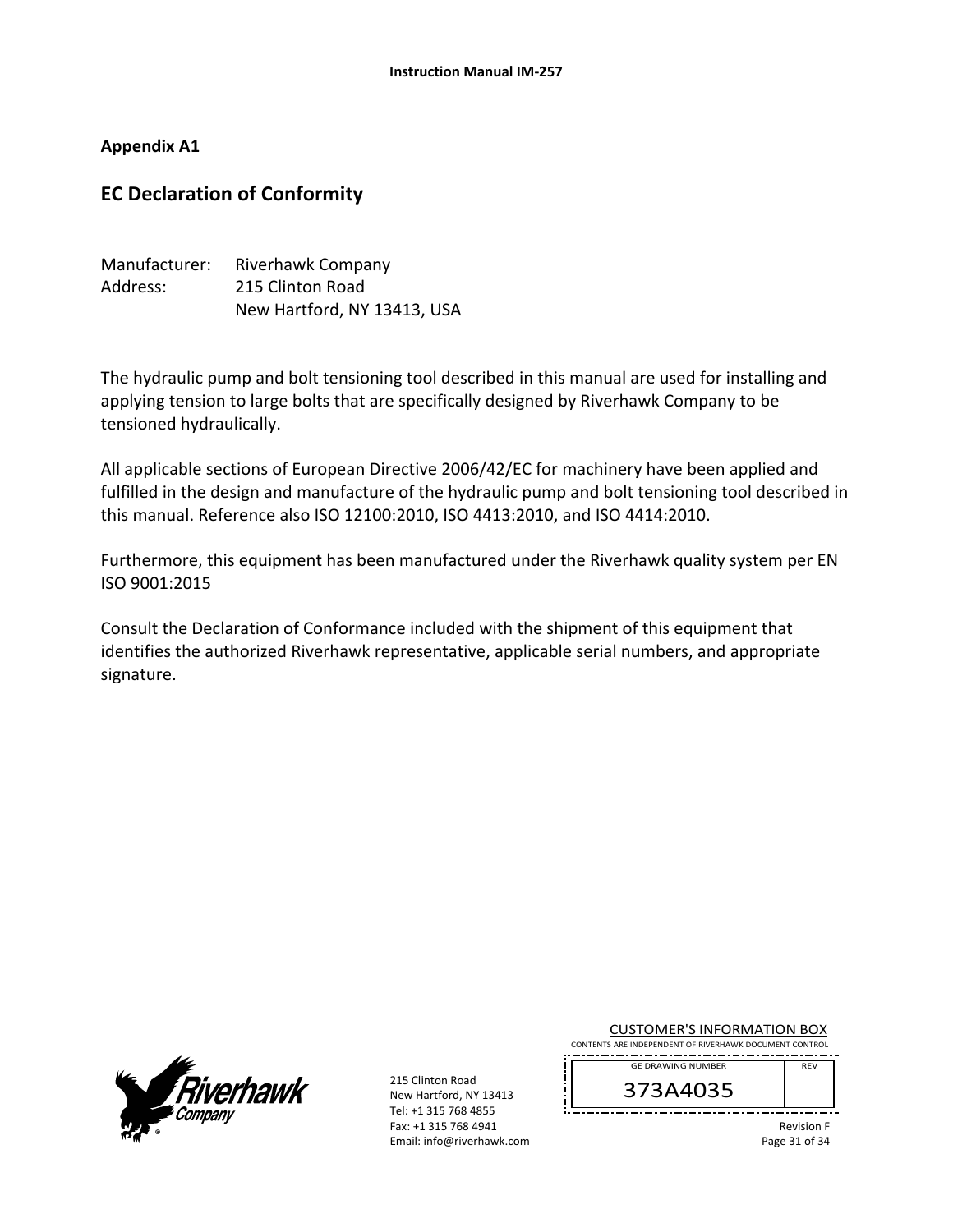### **Appendix A1**

## **EC Declaration of Conformity**

| Manufacturer: | Riverhawk Company           |
|---------------|-----------------------------|
| Address:      | 215 Clinton Road            |
|               | New Hartford, NY 13413, USA |

The hydraulic pump and bolt tensioning tool described in this manual are used for installing and applying tension to large bolts that are specifically designed by Riverhawk Company to be tensioned hydraulically.

All applicable sections of European Directive 2006/42/EC for machinery have been applied and fulfilled in the design and manufacture of the hydraulic pump and bolt tensioning tool described in this manual. Reference also ISO 12100:2010, ISO 4413:2010, and ISO 4414:2010.

Furthermore, this equipment has been manufactured under the Riverhawk quality system per EN ISO 9001:2015

Consult the Declaration of Conformance included with the shipment of this equipment that identifies the authorized Riverhawk representative, applicable serial numbers, and appropriate signature.



215 Clinton Road New Hartford, NY 13413 Tel: +1 315 768 4855 Fax: +1 315 768 4941 Email: info@riverhawk.com

| <b>CUSTOMER'S INFORMATION BOX</b>                    |  |  |  |
|------------------------------------------------------|--|--|--|
| TENTS ARE INDERENDENT OF BIVERHAMIK DOCUMENT CONTROL |  |  |  |

CONTENTS ARE INDEPENDENT OF RIVERHAWK DOCUMENT CONTROL REV GE DRAWING NUMBER

373A4035

Revision F Page 31 of 34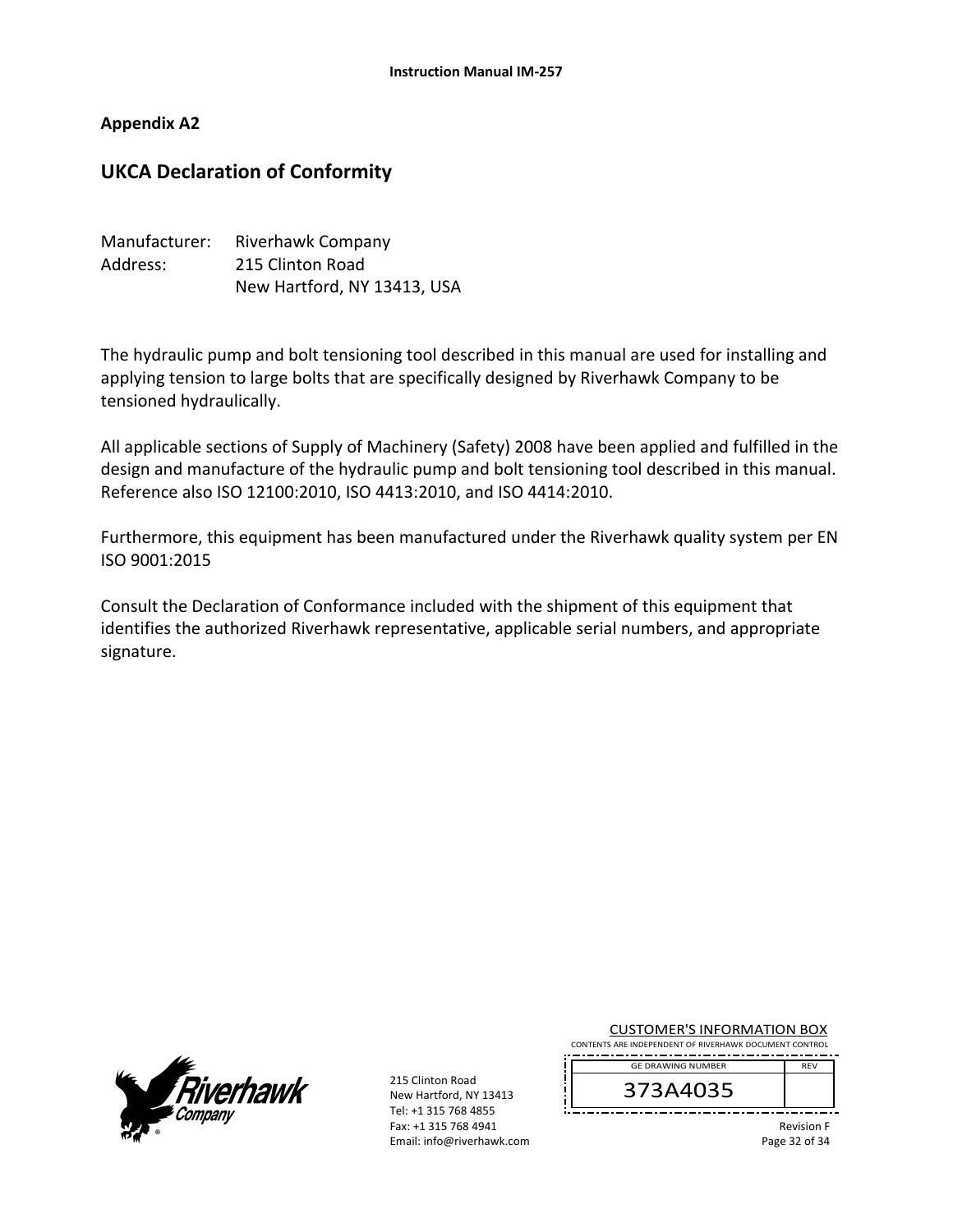#### **Appendix A2**

### **UKCA Declaration of Conformity**

| Manufacturer: | Riverhawk Company           |
|---------------|-----------------------------|
| Address:      | 215 Clinton Road            |
|               | New Hartford, NY 13413, USA |

The hydraulic pump and bolt tensioning tool described in this manual are used for installing and applying tension to large bolts that are specifically designed by Riverhawk Company to be tensioned hydraulically.

All applicable sections of Supply of Machinery (Safety) 2008 have been applied and fulfilled in the design and manufacture of the hydraulic pump and bolt tensioning tool described in this manual. Reference also ISO 12100:2010, ISO 4413:2010, and ISO 4414:2010.

Furthermore, this equipment has been manufactured under the Riverhawk quality system per EN ISO 9001:2015

Consult the Declaration of Conformance included with the shipment of this equipment that identifies the authorized Riverhawk representative, applicable serial numbers, and appropriate signature.



215 Clinton Road New Hartford, NY 13413 Tel: +1 315 768 4855 Fax: +1 315 768 4941 Email: info@riverhawk.com

| <b>CUSTOMER'S INFORMATION BOX</b>                      |  |  |
|--------------------------------------------------------|--|--|
| CONTENTS ARE INDEPENDENT OF RIVERHAWK DOCUMENT CONTROL |  |  |

REV GE DRAWING NUMBER

373A4035

Revision F Page 32 of 34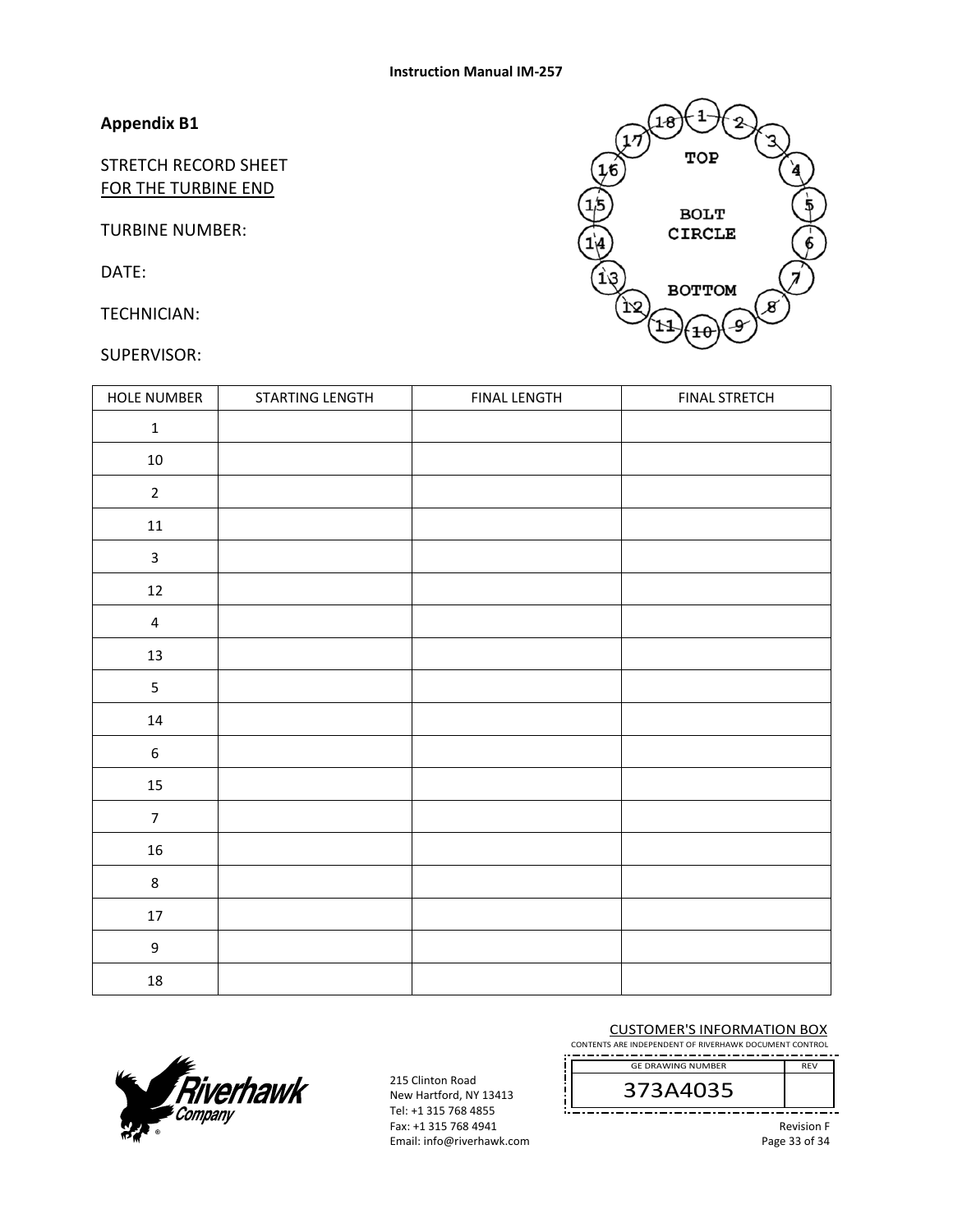## **Appendix B1**

STRETCH RECORD SHEET FOR THE TURBINE END

TURBINE NUMBER:

DATE:

TECHNICIAN:

#### SUPERVISOR:



| HOLE NUMBER      | STARTING LENGTH | <b>FINAL LENGTH</b> | <b>FINAL STRETCH</b> |
|------------------|-----------------|---------------------|----------------------|
| $\mathbf 1$      |                 |                     |                      |
| $10\,$           |                 |                     |                      |
| $\mathbf 2$      |                 |                     |                      |
| ${\bf 11}$       |                 |                     |                      |
| $\mathsf{3}$     |                 |                     |                      |
| $12\,$           |                 |                     |                      |
| $\pmb{4}$        |                 |                     |                      |
| $13\,$           |                 |                     |                      |
| $\mathsf S$      |                 |                     |                      |
| $14\,$           |                 |                     |                      |
| $\boldsymbol{6}$ |                 |                     |                      |
| $15\,$           |                 |                     |                      |
| $\overline{7}$   |                 |                     |                      |
| ${\bf 16}$       |                 |                     |                      |
| $\bf 8$          |                 |                     |                      |
| $17\,$           |                 |                     |                      |
| $\mathsf 9$      |                 |                     |                      |
| $18\,$           |                 |                     |                      |



215 Clinton Road New Hartford, NY 13413 Tel: +1 315 768 4855 Fax: +1 315 768 4941 Email: info@riverhawk.com

#### CUSTOMER'S INFORMATION BOX

CONTENTS ARE INDEPENDENT OF RIVERHAWK DOCUMENT CONTROL REV GE DRAWING NUMBER

373A4035

Revision F

Page 33 of 34